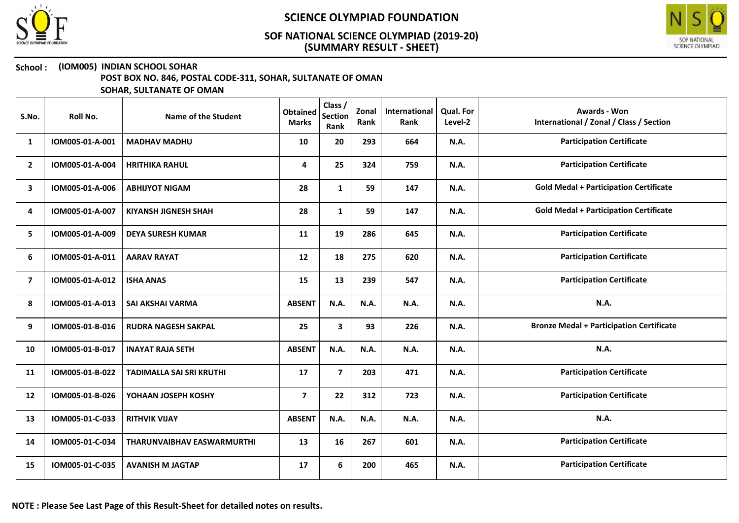



### School : (IOM005) INDIAN SCHOOL SOHAR

POST BOX NO. 846, POSTAL CODE-311, SOHAR, SULTANATE OF OMAN

| S.No.                   | Roll No.        | Name of the Student               | <b>Obtained</b><br><b>Marks</b> | Class /<br><b>Section</b><br>Rank | Zonal<br>Rank | International<br>Rank | Qual. For<br>Level-2 | <b>Awards - Won</b><br>International / Zonal / Class / Section |
|-------------------------|-----------------|-----------------------------------|---------------------------------|-----------------------------------|---------------|-----------------------|----------------------|----------------------------------------------------------------|
| 1                       | IOM005-01-A-001 | <b>MADHAV MADHU</b>               | 10                              | 20                                | 293           | 664                   | N.A.                 | <b>Participation Certificate</b>                               |
| $\overline{2}$          | IOM005-01-A-004 | <b>HRITHIKA RAHUL</b>             | 4                               | 25                                | 324           | 759                   | N.A.                 | <b>Participation Certificate</b>                               |
| 3                       | IOM005-01-A-006 | <b>ABHIJYOT NIGAM</b>             | 28                              | $\mathbf{1}$                      | 59            | 147                   | <b>N.A.</b>          | <b>Gold Medal + Participation Certificate</b>                  |
| 4                       | IOM005-01-A-007 | <b>KIYANSH JIGNESH SHAH</b>       | 28                              | $\mathbf{1}$                      | 59            | 147                   | N.A.                 | <b>Gold Medal + Participation Certificate</b>                  |
| 5                       | IOM005-01-A-009 | <b>DEYA SURESH KUMAR</b>          | 11                              | 19                                | 286           | 645                   | N.A.                 | <b>Participation Certificate</b>                               |
| 6                       | IOM005-01-A-011 | <b>AARAV RAYAT</b>                | 12                              | 18                                | 275           | 620                   | N.A.                 | <b>Participation Certificate</b>                               |
| $\overline{\mathbf{z}}$ | IOM005-01-A-012 | <b>ISHA ANAS</b>                  | 15                              | 13                                | 239           | 547                   | N.A.                 | <b>Participation Certificate</b>                               |
| 8                       | IOM005-01-A-013 | <b>SAI AKSHAI VARMA</b>           | <b>ABSENT</b>                   | N.A.                              | N.A.          | N.A.                  | N.A.                 | <b>N.A.</b>                                                    |
| 9                       | IOM005-01-B-016 | <b>RUDRA NAGESH SAKPAL</b>        | 25                              | $\overline{\mathbf{3}}$           | 93            | 226                   | N.A.                 | <b>Bronze Medal + Participation Certificate</b>                |
| 10                      | IOM005-01-B-017 | <b>INAYAT RAJA SETH</b>           | <b>ABSENT</b>                   | N.A.                              | N.A.          | N.A.                  | N.A.                 | N.A.                                                           |
| 11                      | IOM005-01-B-022 | <b>TADIMALLA SAI SRI KRUTHI</b>   | 17                              | $\overline{\mathbf{z}}$           | 203           | 471                   | N.A.                 | <b>Participation Certificate</b>                               |
| 12                      | IOM005-01-B-026 | YOHAAN JOSEPH KOSHY               | $\overline{\mathbf{z}}$         | 22                                | 312           | 723                   | N.A.                 | <b>Participation Certificate</b>                               |
| 13                      | IOM005-01-C-033 | <b>RITHVIK VIJAY</b>              | <b>ABSENT</b>                   | N.A.                              | N.A.          | N.A.                  | N.A.                 | N.A.                                                           |
| 14                      | IOM005-01-C-034 | <b>THARUNVAIBHAV EASWARMURTHI</b> | 13                              | 16                                | 267           | 601                   | N.A.                 | <b>Participation Certificate</b>                               |
| 15                      | IOM005-01-C-035 | <b>AVANISH M JAGTAP</b>           | 17                              | 6                                 | 200           | 465                   | N.A.                 | <b>Participation Certificate</b>                               |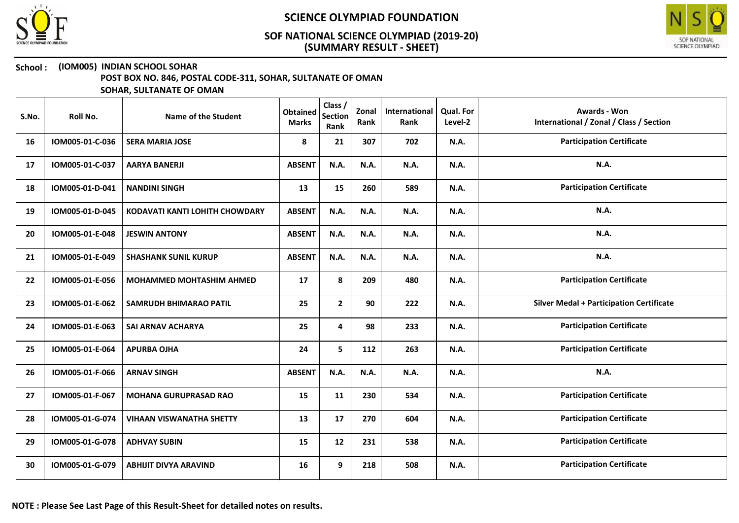



## School : (IOM005) INDIAN SCHOOL SOHAR

POST BOX NO. 846, POSTAL CODE-311, SOHAR, SULTANATE OF OMAN

| S.No. | Roll No.        | Name of the Student             | <b>Obtained</b><br><b>Marks</b> | Class /<br><b>Section</b><br>Rank | Zonal<br>Rank | International<br>Rank | Qual. For<br>Level-2 | <b>Awards - Won</b><br>International / Zonal / Class / Section |
|-------|-----------------|---------------------------------|---------------------------------|-----------------------------------|---------------|-----------------------|----------------------|----------------------------------------------------------------|
| 16    | IOM005-01-C-036 | <b>SERA MARIA JOSE</b>          | 8                               | 21                                | 307           | 702                   | <b>N.A.</b>          | <b>Participation Certificate</b>                               |
| 17    | IOM005-01-C-037 | <b>AARYA BANERJI</b>            | <b>ABSENT</b>                   | N.A.                              | N.A.          | N.A.                  | <b>N.A.</b>          | <b>N.A.</b>                                                    |
| 18    | IOM005-01-D-041 | <b>NANDINI SINGH</b>            | 13                              | 15                                | 260           | 589                   | <b>N.A.</b>          | <b>Participation Certificate</b>                               |
| 19    | IOM005-01-D-045 | KODAVATI KANTI LOHITH CHOWDARY  | <b>ABSENT</b>                   | N.A.                              | N.A.          | N.A.                  | <b>N.A.</b>          | N.A.                                                           |
| 20    | IOM005-01-E-048 | <b>JESWIN ANTONY</b>            | <b>ABSENT</b>                   | N.A.                              | N.A.          | N.A.                  | <b>N.A.</b>          | N.A.                                                           |
| 21    | IOM005-01-E-049 | <b>SHASHANK SUNIL KURUP</b>     | <b>ABSENT</b>                   | N.A.                              | N.A.          | N.A.                  | <b>N.A.</b>          | N.A.                                                           |
| 22    | IOM005-01-E-056 | <b>MOHAMMED MOHTASHIM AHMED</b> | 17                              | 8                                 | 209           | 480                   | <b>N.A.</b>          | <b>Participation Certificate</b>                               |
| 23    | IOM005-01-E-062 | <b>SAMRUDH BHIMARAO PATIL</b>   | 25                              | $\mathbf{2}$                      | 90            | 222                   | <b>N.A.</b>          | <b>Silver Medal + Participation Certificate</b>                |
| 24    | IOM005-01-E-063 | SAI ARNAV ACHARYA               | 25                              | 4                                 | 98            | 233                   | <b>N.A.</b>          | <b>Participation Certificate</b>                               |
| 25    | IOM005-01-E-064 | <b>APURBA OJHA</b>              | 24                              | 5                                 | 112           | 263                   | <b>N.A.</b>          | <b>Participation Certificate</b>                               |
| 26    | IOM005-01-F-066 | <b>ARNAV SINGH</b>              | <b>ABSENT</b>                   | N.A.                              | <b>N.A.</b>   | N.A.                  | <b>N.A.</b>          | N.A.                                                           |
| 27    | IOM005-01-F-067 | <b>MOHANA GURUPRASAD RAO</b>    | 15                              | 11                                | 230           | 534                   | N.A.                 | <b>Participation Certificate</b>                               |
| 28    | IOM005-01-G-074 | <b>VIHAAN VISWANATHA SHETTY</b> | 13                              | 17                                | 270           | 604                   | <b>N.A.</b>          | <b>Participation Certificate</b>                               |
| 29    | IOM005-01-G-078 | <b>ADHVAY SUBIN</b>             | 15                              | 12                                | 231           | 538                   | <b>N.A.</b>          | <b>Participation Certificate</b>                               |
| 30    | IOM005-01-G-079 | <b>ABHIJIT DIVYA ARAVIND</b>    | 16                              | 9                                 | 218           | 508                   | <b>N.A.</b>          | <b>Participation Certificate</b>                               |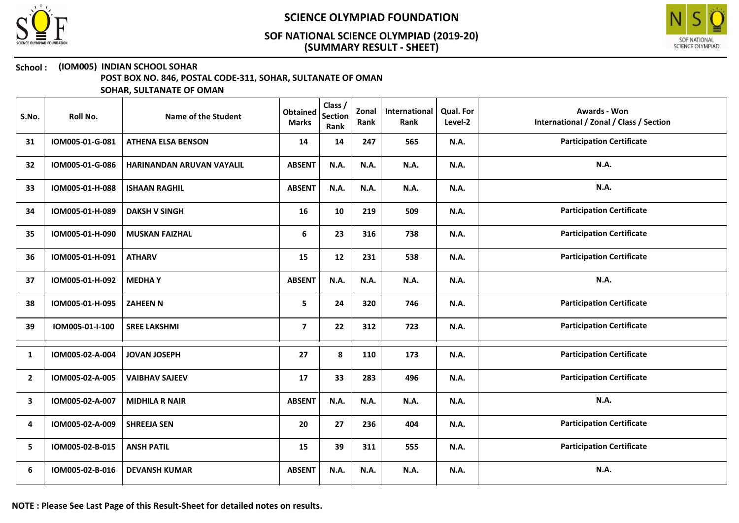



#### School : (IOM005) INDIAN SCHOOL SOHAR

POST BOX NO. 846, POSTAL CODE-311, SOHAR, SULTANATE OF OMAN

| S.No.          | Roll No.        | Name of the Student       | <b>Obtained</b><br><b>Marks</b> | Class /<br><b>Section</b><br>Rank | Zonal<br>Rank | International<br>Rank | <b>Qual. For</b><br>Level-2 | <b>Awards - Won</b><br>International / Zonal / Class / Section |
|----------------|-----------------|---------------------------|---------------------------------|-----------------------------------|---------------|-----------------------|-----------------------------|----------------------------------------------------------------|
| 31             | IOM005-01-G-081 | <b>ATHENA ELSA BENSON</b> | 14                              | 14                                | 247           | 565                   | N.A.                        | <b>Participation Certificate</b>                               |
| 32             | IOM005-01-G-086 | HARINANDAN ARUVAN VAYALIL | <b>ABSENT</b>                   | N.A.                              | N.A.          | N.A.                  | N.A.                        | N.A.                                                           |
| 33             | IOM005-01-H-088 | <b>ISHAAN RAGHIL</b>      | <b>ABSENT</b>                   | N.A.                              | N.A.          | N.A.                  | N.A.                        | N.A.                                                           |
| 34             | IOM005-01-H-089 | <b>DAKSH V SINGH</b>      | 16                              | 10                                | 219           | 509                   | N.A.                        | <b>Participation Certificate</b>                               |
| 35             | IOM005-01-H-090 | <b>MUSKAN FAIZHAL</b>     | 6                               | 23                                | 316           | 738                   | N.A.                        | <b>Participation Certificate</b>                               |
| 36             | IOM005-01-H-091 | <b>ATHARV</b>             | 15                              | 12                                | 231           | 538                   | N.A.                        | <b>Participation Certificate</b>                               |
| 37             | IOM005-01-H-092 | <b>MEDHAY</b>             | <b>ABSENT</b>                   | N.A.                              | N.A.          | N.A.                  | N.A.                        | N.A.                                                           |
| 38             | IOM005-01-H-095 | <b>ZAHEEN N</b>           | 5                               | 24                                | 320           | 746                   | N.A.                        | <b>Participation Certificate</b>                               |
| 39             | IOM005-01-I-100 | <b>SREE LAKSHMI</b>       | $\overline{\mathbf{z}}$         | 22                                | 312           | 723                   | N.A.                        | <b>Participation Certificate</b>                               |
| 1              | IOM005-02-A-004 | <b>JOVAN JOSEPH</b>       | 27                              | 8                                 | 110           | 173                   | N.A.                        | <b>Participation Certificate</b>                               |
| $\overline{2}$ | IOM005-02-A-005 | <b>VAIBHAV SAJEEV</b>     | 17                              | 33                                | 283           | 496                   | N.A.                        | <b>Participation Certificate</b>                               |
| 3              | IOM005-02-A-007 | <b>MIDHILA R NAIR</b>     | <b>ABSENT</b>                   | N.A.                              | N.A.          | <b>N.A.</b>           | N.A.                        | N.A.                                                           |
| 4              | IOM005-02-A-009 | <b>SHREEJA SEN</b>        | 20                              | 27                                | 236           | 404                   | N.A.                        | <b>Participation Certificate</b>                               |
| 5              | IOM005-02-B-015 | <b>ANSH PATIL</b>         | 15                              | 39                                | 311           | 555                   | N.A.                        | <b>Participation Certificate</b>                               |
| 6              | IOM005-02-B-016 | <b>DEVANSH KUMAR</b>      | <b>ABSENT</b>                   | N.A.                              | N.A.          | <b>N.A.</b>           | N.A.                        | N.A.                                                           |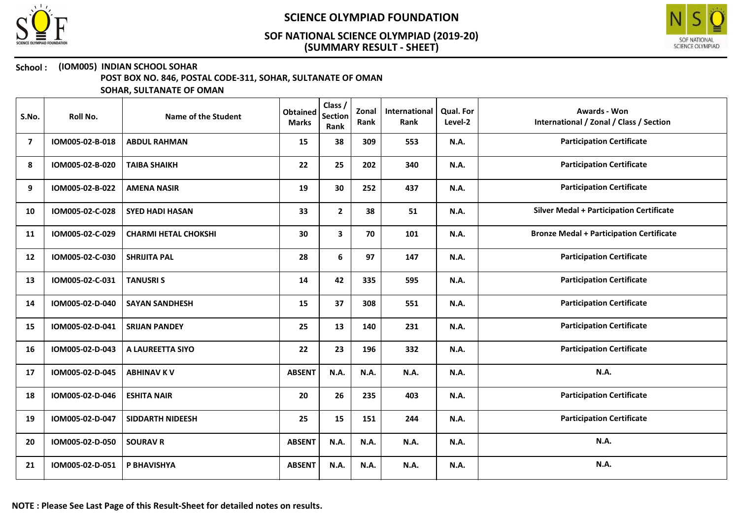



### School : (IOM005) INDIAN SCHOOL SOHAR

POST BOX NO. 846, POSTAL CODE-311, SOHAR, SULTANATE OF OMAN

| S.No.          | Roll No.        | Name of the Student         | <b>Obtained</b><br><b>Marks</b> | Class /<br><b>Section</b><br>Rank | Zonal<br>Rank | International<br>Rank | Qual. For<br>Level-2 | <b>Awards - Won</b><br>International / Zonal / Class / Section |
|----------------|-----------------|-----------------------------|---------------------------------|-----------------------------------|---------------|-----------------------|----------------------|----------------------------------------------------------------|
| $\overline{7}$ | IOM005-02-B-018 | <b>ABDUL RAHMAN</b>         | 15                              | 38                                | 309           | 553                   | N.A.                 | <b>Participation Certificate</b>                               |
| 8              | IOM005-02-B-020 | <b>TAIBA SHAIKH</b>         | 22                              | 25                                | 202           | 340                   | <b>N.A.</b>          | <b>Participation Certificate</b>                               |
| 9              | IOM005-02-B-022 | <b>AMENA NASIR</b>          | 19                              | 30                                | 252           | 437                   | N.A.                 | <b>Participation Certificate</b>                               |
| 10             | IOM005-02-C-028 | <b>SYED HADI HASAN</b>      | 33                              | $\mathbf{2}$                      | 38            | 51                    | <b>N.A.</b>          | <b>Silver Medal + Participation Certificate</b>                |
| 11             | IOM005-02-C-029 | <b>CHARMI HETAL CHOKSHI</b> | 30                              | 3                                 | 70            | 101                   | N.A.                 | <b>Bronze Medal + Participation Certificate</b>                |
| 12             | IOM005-02-C-030 | <b>SHRIJITA PAL</b>         | 28                              | 6                                 | 97            | 147                   | N.A.                 | <b>Participation Certificate</b>                               |
| 13             | IOM005-02-C-031 | <b>TANUSRIS</b>             | 14                              | 42                                | 335           | 595                   | <b>N.A.</b>          | <b>Participation Certificate</b>                               |
| 14             | IOM005-02-D-040 | <b>SAYAN SANDHESH</b>       | 15                              | 37                                | 308           | 551                   | N.A.                 | <b>Participation Certificate</b>                               |
| 15             | IOM005-02-D-041 | <b>SRIJAN PANDEY</b>        | 25                              | 13                                | 140           | 231                   | N.A.                 | <b>Participation Certificate</b>                               |
| 16             | IOM005-02-D-043 | A LAUREETTA SIYO            | 22                              | 23                                | 196           | 332                   | N.A.                 | <b>Participation Certificate</b>                               |
| 17             | IOM005-02-D-045 | <b>ABHINAV K V</b>          | <b>ABSENT</b>                   | N.A.                              | <b>N.A.</b>   | N.A.                  | N.A.                 | N.A.                                                           |
| 18             | IOM005-02-D-046 | <b>ESHITA NAIR</b>          | 20                              | 26                                | 235           | 403                   | <b>N.A.</b>          | <b>Participation Certificate</b>                               |
| 19             | IOM005-02-D-047 | <b>SIDDARTH NIDEESH</b>     | 25                              | 15                                | 151           | 244                   | N.A.                 | <b>Participation Certificate</b>                               |
| 20             | IOM005-02-D-050 | <b>SOURAV R</b>             | <b>ABSENT</b>                   | <b>N.A.</b>                       | <b>N.A.</b>   | N.A.                  | N.A.                 | <b>N.A.</b>                                                    |
| 21             | IOM005-02-D-051 | P BHAVISHYA                 | <b>ABSENT</b>                   | N.A.                              | N.A.          | N.A.                  | N.A.                 | N.A.                                                           |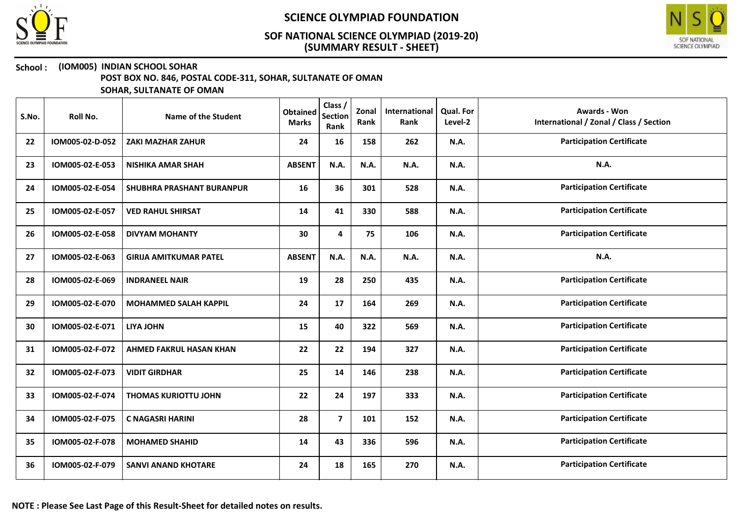



### School : (IOM005) INDIAN SCHOOL SOHAR

POST BOX NO. 846, POSTAL CODE-311, SOHAR, SULTANATE OF OMAN

| S.No. | Roll No.        | Name of the Student              | <b>Obtained</b><br><b>Marks</b> | Class /<br><b>Section</b><br>Rank | Zonal<br>Rank | International<br>Rank | Qual. For<br>Level-2 | <b>Awards - Won</b><br>International / Zonal / Class / Section |
|-------|-----------------|----------------------------------|---------------------------------|-----------------------------------|---------------|-----------------------|----------------------|----------------------------------------------------------------|
| 22    | IOM005-02-D-052 | <b>ZAKI MAZHAR ZAHUR</b>         | 24                              | 16                                | 158           | 262                   | N.A.                 | <b>Participation Certificate</b>                               |
| 23    | IOM005-02-E-053 | <b>NISHIKA AMAR SHAH</b>         | <b>ABSENT</b>                   | N.A.                              | N.A.          | N.A.                  | N.A.                 | N.A.                                                           |
| 24    | IOM005-02-E-054 | <b>SHUBHRA PRASHANT BURANPUR</b> | 16                              | 36                                | 301           | 528                   | N.A.                 | <b>Participation Certificate</b>                               |
| 25    | IOM005-02-E-057 | <b>VED RAHUL SHIRSAT</b>         | 14                              | 41                                | 330           | 588                   | N.A.                 | <b>Participation Certificate</b>                               |
| 26    | IOM005-02-E-058 | <b>DIVYAM MOHANTY</b>            | 30                              | 4                                 | 75            | 106                   | N.A.                 | <b>Participation Certificate</b>                               |
| 27    | IOM005-02-E-063 | <b>GIRIJA AMITKUMAR PATEL</b>    | <b>ABSENT</b>                   | N.A.                              | N.A.          | N.A.                  | N.A.                 | <b>N.A.</b>                                                    |
| 28    | IOM005-02-E-069 | <b>INDRANEEL NAIR</b>            | 19                              | 28                                | 250           | 435                   | N.A.                 | <b>Participation Certificate</b>                               |
| 29    | IOM005-02-E-070 | <b>MOHAMMED SALAH KAPPIL</b>     | 24                              | 17                                | 164           | 269                   | N.A.                 | <b>Participation Certificate</b>                               |
| 30    | IOM005-02-E-071 | <b>LIYA JOHN</b>                 | 15                              | 40                                | 322           | 569                   | N.A.                 | <b>Participation Certificate</b>                               |
| 31    | IOM005-02-F-072 | <b>AHMED FAKRUL HASAN KHAN</b>   | 22                              | 22                                | 194           | 327                   | N.A.                 | <b>Participation Certificate</b>                               |
| 32    | IOM005-02-F-073 | <b>VIDIT GIRDHAR</b>             | 25                              | 14                                | 146           | 238                   | N.A.                 | <b>Participation Certificate</b>                               |
| 33    | IOM005-02-F-074 | <b>THOMAS KURIOTTU JOHN</b>      | 22                              | 24                                | 197           | 333                   | N.A.                 | <b>Participation Certificate</b>                               |
| 34    | IOM005-02-F-075 | <b>C NAGASRI HARINI</b>          | 28                              | $\overline{\mathbf{z}}$           | 101           | 152                   | N.A.                 | <b>Participation Certificate</b>                               |
| 35    | IOM005-02-F-078 | <b>MOHAMED SHAHID</b>            | 14                              | 43                                | 336           | 596                   | N.A.                 | <b>Participation Certificate</b>                               |
| 36    | IOM005-02-F-079 | <b>SANVI ANAND KHOTARE</b>       | 24                              | 18                                | 165           | 270                   | N.A.                 | <b>Participation Certificate</b>                               |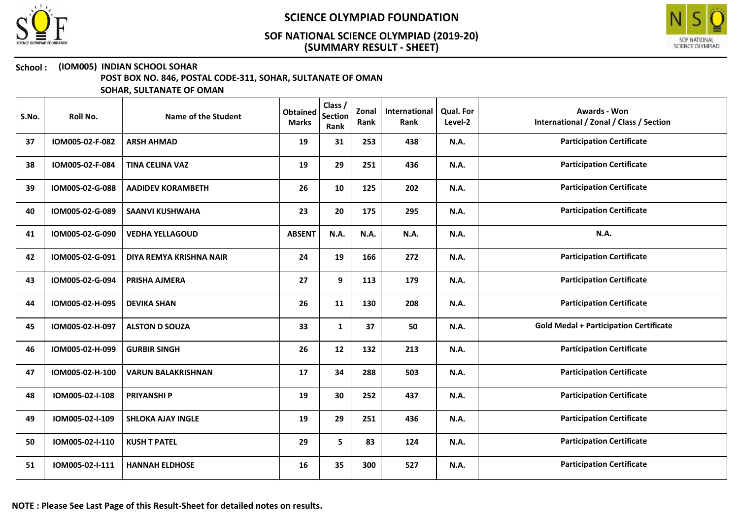



### School : (IOM005) INDIAN SCHOOL SOHAR

POST BOX NO. 846, POSTAL CODE-311, SOHAR, SULTANATE OF OMAN

| S.No. | Roll No.        | Name of the Student       | <b>Obtained</b><br><b>Marks</b> | Class /<br><b>Section</b><br>Rank | Zonal<br>Rank | International<br>Rank | Qual. For<br>Level-2 | Awards - Won<br>International / Zonal / Class / Section |
|-------|-----------------|---------------------------|---------------------------------|-----------------------------------|---------------|-----------------------|----------------------|---------------------------------------------------------|
| 37    | IOM005-02-F-082 | <b>ARSH AHMAD</b>         | 19                              | 31                                | 253           | 438                   | <b>N.A.</b>          | <b>Participation Certificate</b>                        |
| 38    | IOM005-02-F-084 | <b>TINA CELINA VAZ</b>    | 19                              | 29                                | 251           | 436                   | N.A.                 | <b>Participation Certificate</b>                        |
| 39    | IOM005-02-G-088 | <b>AADIDEV KORAMBETH</b>  | 26                              | 10                                | 125           | 202                   | <b>N.A.</b>          | <b>Participation Certificate</b>                        |
| 40    | IOM005-02-G-089 | <b>SAANVI KUSHWAHA</b>    | 23                              | 20                                | 175           | 295                   | N.A.                 | <b>Participation Certificate</b>                        |
| 41    | IOM005-02-G-090 | <b>VEDHA YELLAGOUD</b>    | <b>ABSENT</b>                   | N.A.                              | <b>N.A.</b>   | N.A.                  | N.A.                 | N.A.                                                    |
| 42    | IOM005-02-G-091 | DIYA REMYA KRISHNA NAIR   | 24                              | 19                                | 166           | 272                   | N.A.                 | <b>Participation Certificate</b>                        |
| 43    | IOM005-02-G-094 | PRISHA AJMERA             | 27                              | 9                                 | 113           | 179                   | N.A.                 | <b>Participation Certificate</b>                        |
| 44    | IOM005-02-H-095 | <b>DEVIKA SHAN</b>        | 26                              | 11                                | 130           | 208                   | N.A.                 | <b>Participation Certificate</b>                        |
| 45    | IOM005-02-H-097 | <b>ALSTON D SOUZA</b>     | 33                              | $\mathbf{1}$                      | 37            | 50                    | N.A.                 | <b>Gold Medal + Participation Certificate</b>           |
| 46    | IOM005-02-H-099 | <b>GURBIR SINGH</b>       | 26                              | 12                                | 132           | 213                   | <b>N.A.</b>          | <b>Participation Certificate</b>                        |
| 47    | IOM005-02-H-100 | <b>VARUN BALAKRISHNAN</b> | 17                              | 34                                | 288           | 503                   | N.A.                 | <b>Participation Certificate</b>                        |
| 48    | IOM005-02-I-108 | <b>PRIYANSHI P</b>        | 19                              | 30                                | 252           | 437                   | N.A.                 | <b>Participation Certificate</b>                        |
| 49    | IOM005-02-I-109 | <b>SHLOKA AJAY INGLE</b>  | 19                              | 29                                | 251           | 436                   | N.A.                 | <b>Participation Certificate</b>                        |
| 50    | IOM005-02-I-110 | <b>KUSH T PATEL</b>       | 29                              | 5                                 | 83            | 124                   | <b>N.A.</b>          | <b>Participation Certificate</b>                        |
| 51    | IOM005-02-I-111 | <b>HANNAH ELDHOSE</b>     | 16                              | 35                                | 300           | 527                   | N.A.                 | <b>Participation Certificate</b>                        |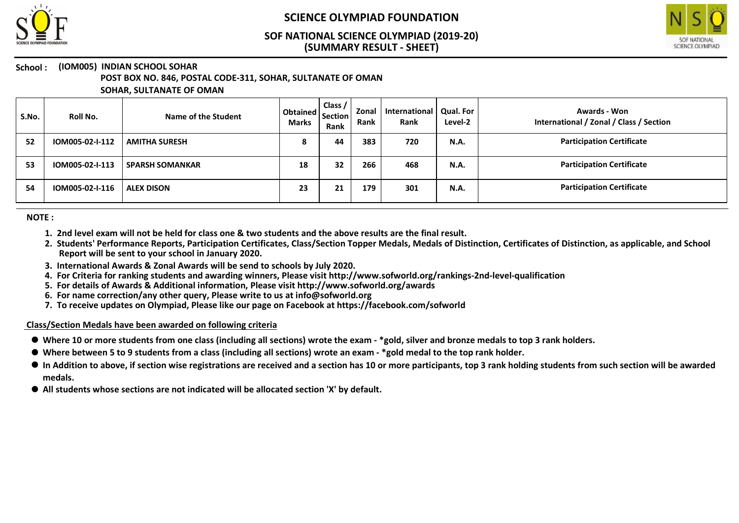



# School : (IOM005) INDIAN SCHOOL SOHAR

POST BOX NO. 846, POSTAL CODE-311, SOHAR, SULTANATE OF OMAN

SOHAR, SULTANATE OF OMAN

| S.No. | Roll No.        | Name of the Student    | Obtained   Section   ~~<br><b>Marks</b> | Class /<br>Rank | Zonal<br>Rank | International<br>Rank | Qual. For<br>Level-2 | Awards - Won<br>International / Zonal / Class / Section |
|-------|-----------------|------------------------|-----------------------------------------|-----------------|---------------|-----------------------|----------------------|---------------------------------------------------------|
| 52    | IOM005-02-I-112 | <b>AMITHA SURESH</b>   | ο                                       | 44              | 383           | 720                   | N.A.                 | <b>Participation Certificate</b>                        |
| 53    | IOM005-02-I-113 | <b>SPARSH SOMANKAR</b> | 18                                      | 32              | 266           | 468                   | N.A.                 | <b>Participation Certificate</b>                        |
| 54    | IOM005-02-I-116 | <b>ALEX DISON</b>      | 23                                      | 21              | 179           | 301                   | N.A.                 | <b>Participation Certificate</b>                        |

NOTE :

- 1. 2nd level exam will not be held for class one & two students and the above results are the final result.
- 2. Students' Performance Reports, Participation Certificates, Class/Section Topper Medals, Medals of Distinction, Certificates of Distinction, as applicable, and School Report will be sent to your school in January 2020.
- 3. International Awards & Zonal Awards will be send to schools by July 2020.
- 4. For Criteria for ranking students and awarding winners, Please visit http://www.sofworld.org/rankings-2nd-level-qualification
- 5. For details of Awards & Additional information, Please visit http://www.sofworld.org/awards
- 6. For name correction/any other query, Please write to us at info@sofworld.org
- 7. To receive updates on Olympiad, Please like our page on Facebook at https://facebook.com/sofworld

#### Class/Section Medals have been awarded on following criteria

- Where 10 or more students from one class (including all sections) wrote the exam \*gold, silver and bronze medals to top 3 rank holders.
- Where between 5 to 9 students from a class (including all sections) wrote an exam \*gold medal to the top rank holder.
- $\bullet$  In Addition to above, if section wise registrations are received and a section has 10 or more participants, top 3 rank holding students from such section will be awarded medals.
- All students whose sections are not indicated will be allocated section 'X' by default.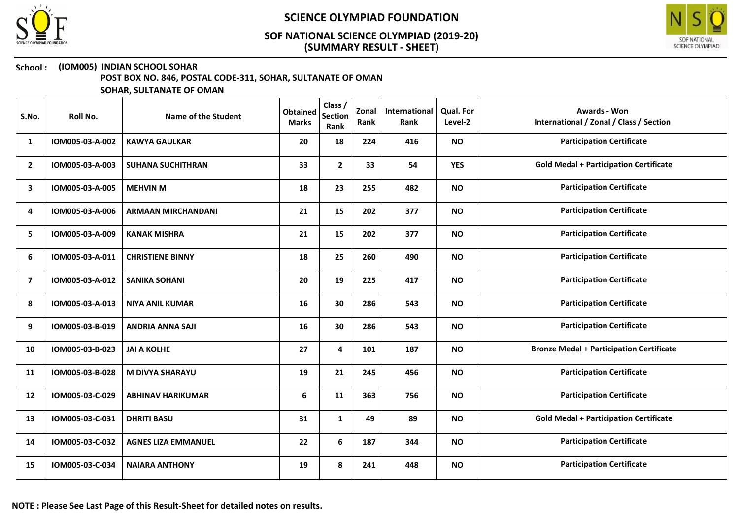



### School : (IOM005) INDIAN SCHOOL SOHAR

POST BOX NO. 846, POSTAL CODE-311, SOHAR, SULTANATE OF OMAN

| S.No.          | Roll No.        | Name of the Student        | <b>Obtained</b><br><b>Marks</b> | Class /<br><b>Section</b><br>Rank | Zonal<br>Rank | International<br>Rank | <b>Qual. For</b><br>Level-2 | <b>Awards - Won</b><br>International / Zonal / Class / Section |
|----------------|-----------------|----------------------------|---------------------------------|-----------------------------------|---------------|-----------------------|-----------------------------|----------------------------------------------------------------|
| 1              | IOM005-03-A-002 | <b>KAWYA GAULKAR</b>       | 20                              | 18                                | 224           | 416                   | <b>NO</b>                   | <b>Participation Certificate</b>                               |
| $\mathbf{2}$   | IOM005-03-A-003 | <b>SUHANA SUCHITHRAN</b>   | 33                              | $\mathbf{2}$                      | 33            | 54                    | <b>YES</b>                  | <b>Gold Medal + Participation Certificate</b>                  |
| 3              | IOM005-03-A-005 | <b>MEHVIN M</b>            | 18                              | 23                                | 255           | 482                   | <b>NO</b>                   | <b>Participation Certificate</b>                               |
| 4              | IOM005-03-A-006 | <b>ARMAAN MIRCHANDANI</b>  | 21                              | 15                                | 202           | 377                   | <b>NO</b>                   | <b>Participation Certificate</b>                               |
| 5              | IOM005-03-A-009 | <b>KANAK MISHRA</b>        | 21                              | 15                                | 202           | 377                   | <b>NO</b>                   | <b>Participation Certificate</b>                               |
| 6              | IOM005-03-A-011 | <b>CHRISTIENE BINNY</b>    | 18                              | 25                                | 260           | 490                   | <b>NO</b>                   | <b>Participation Certificate</b>                               |
| $\overline{ }$ | IOM005-03-A-012 | <b>SANIKA SOHANI</b>       | 20                              | 19                                | 225           | 417                   | <b>NO</b>                   | <b>Participation Certificate</b>                               |
| 8              | IOM005-03-A-013 | <b>NIYA ANIL KUMAR</b>     | 16                              | 30                                | 286           | 543                   | <b>NO</b>                   | <b>Participation Certificate</b>                               |
| 9              | IOM005-03-B-019 | <b>ANDRIA ANNA SAJI</b>    | 16                              | 30                                | 286           | 543                   | <b>NO</b>                   | <b>Participation Certificate</b>                               |
| 10             | IOM005-03-B-023 | <b>JAI A KOLHE</b>         | 27                              | 4                                 | 101           | 187                   | <b>NO</b>                   | <b>Bronze Medal + Participation Certificate</b>                |
| 11             | IOM005-03-B-028 | <b>M DIVYA SHARAYU</b>     | 19                              | 21                                | 245           | 456                   | <b>NO</b>                   | <b>Participation Certificate</b>                               |
| 12             | IOM005-03-C-029 | <b>ABHINAV HARIKUMAR</b>   | 6                               | 11                                | 363           | 756                   | <b>NO</b>                   | <b>Participation Certificate</b>                               |
| 13             | IOM005-03-C-031 | <b>DHRITI BASU</b>         | 31                              | $\mathbf{1}$                      | 49            | 89                    | <b>NO</b>                   | <b>Gold Medal + Participation Certificate</b>                  |
| 14             | IOM005-03-C-032 | <b>AGNES LIZA EMMANUEL</b> | 22                              | 6                                 | 187           | 344                   | <b>NO</b>                   | <b>Participation Certificate</b>                               |
| 15             | IOM005-03-C-034 | <b>NAIARA ANTHONY</b>      | 19                              | 8                                 | 241           | 448                   | <b>NO</b>                   | <b>Participation Certificate</b>                               |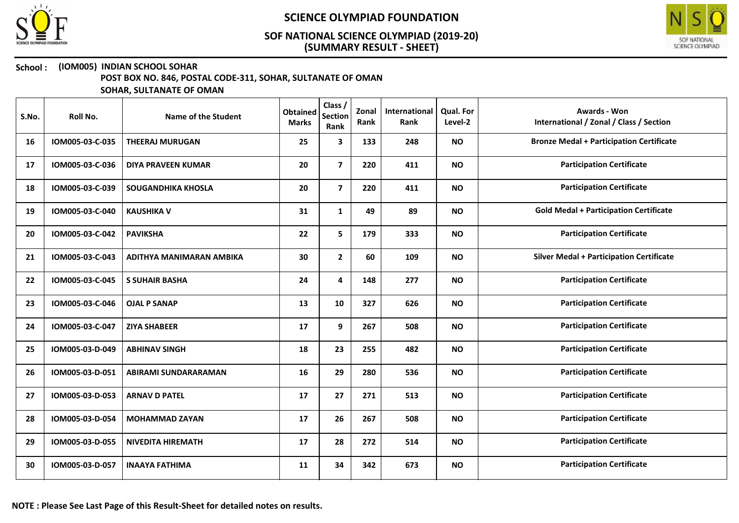



## School : (IOM005) INDIAN SCHOOL SOHAR

POST BOX NO. 846, POSTAL CODE-311, SOHAR, SULTANATE OF OMAN

| S.No. | Roll No.        | Name of the Student         | <b>Obtained</b><br><b>Marks</b> | Class /<br><b>Section</b><br>Rank | Zonal<br>Rank | International<br>Rank | <b>Qual. For</b><br>Level-2 | <b>Awards - Won</b><br>International / Zonal / Class / Section |
|-------|-----------------|-----------------------------|---------------------------------|-----------------------------------|---------------|-----------------------|-----------------------------|----------------------------------------------------------------|
| 16    | IOM005-03-C-035 | <b>THEERAJ MURUGAN</b>      | 25                              | 3                                 | 133           | 248                   | <b>NO</b>                   | <b>Bronze Medal + Participation Certificate</b>                |
| 17    | IOM005-03-C-036 | <b>DIYA PRAVEEN KUMAR</b>   | 20                              | $\overline{7}$                    | 220           | 411                   | <b>NO</b>                   | <b>Participation Certificate</b>                               |
| 18    | IOM005-03-C-039 | <b>SOUGANDHIKA KHOSLA</b>   | 20                              | $\overline{7}$                    | 220           | 411                   | <b>NO</b>                   | <b>Participation Certificate</b>                               |
| 19    | IOM005-03-C-040 | <b>KAUSHIKA V</b>           | 31                              | $\mathbf{1}$                      | 49            | 89                    | <b>NO</b>                   | <b>Gold Medal + Participation Certificate</b>                  |
| 20    | IOM005-03-C-042 | <b>PAVIKSHA</b>             | 22                              | 5                                 | 179           | 333                   | <b>NO</b>                   | <b>Participation Certificate</b>                               |
| 21    | IOM005-03-C-043 | ADITHYA MANIMARAN AMBIKA    | 30                              | $\mathbf{2}$                      | 60            | 109                   | <b>NO</b>                   | <b>Silver Medal + Participation Certificate</b>                |
| 22    | IOM005-03-C-045 | <b>S SUHAIR BASHA</b>       | 24                              | 4                                 | 148           | 277                   | <b>NO</b>                   | <b>Participation Certificate</b>                               |
| 23    | IOM005-03-C-046 | <b>OJAL P SANAP</b>         | 13                              | 10                                | 327           | 626                   | <b>NO</b>                   | <b>Participation Certificate</b>                               |
| 24    | IOM005-03-C-047 | <b>ZIYA SHABEER</b>         | 17                              | 9                                 | 267           | 508                   | <b>NO</b>                   | <b>Participation Certificate</b>                               |
| 25    | IOM005-03-D-049 | <b>ABHINAV SINGH</b>        | 18                              | 23                                | 255           | 482                   | <b>NO</b>                   | <b>Participation Certificate</b>                               |
| 26    | IOM005-03-D-051 | <b>ABIRAMI SUNDARARAMAN</b> | 16                              | 29                                | 280           | 536                   | <b>NO</b>                   | <b>Participation Certificate</b>                               |
| 27    | IOM005-03-D-053 | <b>ARNAV D PATEL</b>        | 17                              | 27                                | 271           | 513                   | <b>NO</b>                   | <b>Participation Certificate</b>                               |
| 28    | IOM005-03-D-054 | <b>MOHAMMAD ZAYAN</b>       | 17                              | 26                                | 267           | 508                   | <b>NO</b>                   | <b>Participation Certificate</b>                               |
| 29    | IOM005-03-D-055 | <b>NIVEDITA HIREMATH</b>    | 17                              | 28                                | 272           | 514                   | <b>NO</b>                   | <b>Participation Certificate</b>                               |
| 30    | IOM005-03-D-057 | <b>INAAYA FATHIMA</b>       | 11                              | 34                                | 342           | 673                   | <b>NO</b>                   | <b>Participation Certificate</b>                               |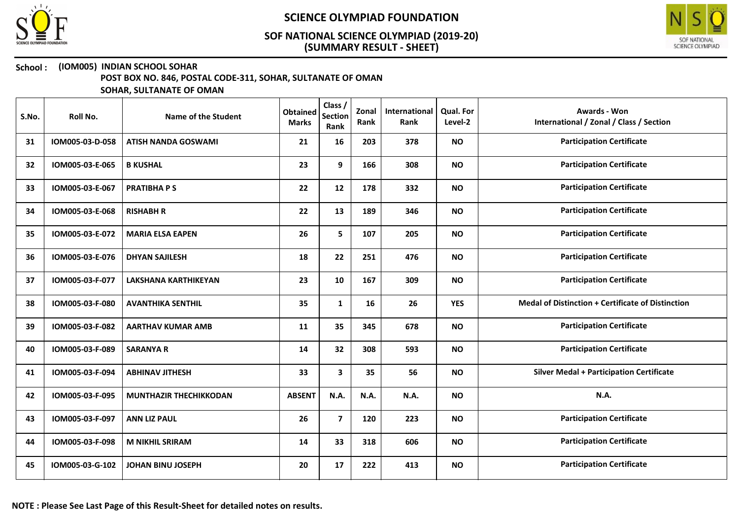



#### School : (IOM005) INDIAN SCHOOL SOHAR

POST BOX NO. 846, POSTAL CODE-311, SOHAR, SULTANATE OF OMAN

| S.No. | Roll No.        | Name of the Student           | <b>Obtained</b><br><b>Marks</b> | Class /<br><b>Section</b><br>Rank | Zonal<br>Rank | International<br>Rank | <b>Qual. For</b><br>Level-2 | <b>Awards - Won</b><br>International / Zonal / Class / Section |
|-------|-----------------|-------------------------------|---------------------------------|-----------------------------------|---------------|-----------------------|-----------------------------|----------------------------------------------------------------|
| 31    | IOM005-03-D-058 | <b>ATISH NANDA GOSWAMI</b>    | 21                              | 16                                | 203           | 378                   | <b>NO</b>                   | <b>Participation Certificate</b>                               |
| 32    | IOM005-03-E-065 | <b>B KUSHAL</b>               | 23                              | 9                                 | 166           | 308                   | <b>NO</b>                   | <b>Participation Certificate</b>                               |
| 33    | IOM005-03-E-067 | <b>PRATIBHAPS</b>             | 22                              | 12                                | 178           | 332                   | <b>NO</b>                   | <b>Participation Certificate</b>                               |
| 34    | IOM005-03-E-068 | <b>RISHABH R</b>              | 22                              | 13                                | 189           | 346                   | <b>NO</b>                   | <b>Participation Certificate</b>                               |
| 35    | IOM005-03-E-072 | <b>MARIA ELSA EAPEN</b>       | 26                              | 5                                 | 107           | 205                   | <b>NO</b>                   | <b>Participation Certificate</b>                               |
| 36    | IOM005-03-E-076 | <b>DHYAN SAJILESH</b>         | 18                              | 22                                | 251           | 476                   | <b>NO</b>                   | <b>Participation Certificate</b>                               |
| 37    | IOM005-03-F-077 | <b>LAKSHANA KARTHIKEYAN</b>   | 23                              | 10                                | 167           | 309                   | <b>NO</b>                   | <b>Participation Certificate</b>                               |
| 38    | IOM005-03-F-080 | <b>AVANTHIKA SENTHIL</b>      | 35                              | $\mathbf{1}$                      | 16            | 26                    | <b>YES</b>                  | <b>Medal of Distinction + Certificate of Distinction</b>       |
| 39    | IOM005-03-F-082 | <b>AARTHAV KUMAR AMB</b>      | 11                              | 35                                | 345           | 678                   | <b>NO</b>                   | <b>Participation Certificate</b>                               |
| 40    | IOM005-03-F-089 | <b>SARANYA R</b>              | 14                              | 32                                | 308           | 593                   | <b>NO</b>                   | <b>Participation Certificate</b>                               |
| 41    | IOM005-03-F-094 | <b>ABHINAV JITHESH</b>        | 33                              | 3                                 | 35            | 56                    | <b>NO</b>                   | <b>Silver Medal + Participation Certificate</b>                |
| 42    | IOM005-03-F-095 | <b>MUNTHAZIR THECHIKKODAN</b> | <b>ABSENT</b>                   | N.A.                              | N.A.          | N.A.                  | <b>NO</b>                   | N.A.                                                           |
| 43    | IOM005-03-F-097 | <b>ANN LIZ PAUL</b>           | 26                              | $\overline{7}$                    | 120           | 223                   | <b>NO</b>                   | <b>Participation Certificate</b>                               |
| 44    | IOM005-03-F-098 | <b>M NIKHIL SRIRAM</b>        | 14                              | 33                                | 318           | 606                   | <b>NO</b>                   | <b>Participation Certificate</b>                               |
| 45    | IOM005-03-G-102 | <b>JOHAN BINU JOSEPH</b>      | 20                              | 17                                | 222           | 413                   | <b>NO</b>                   | <b>Participation Certificate</b>                               |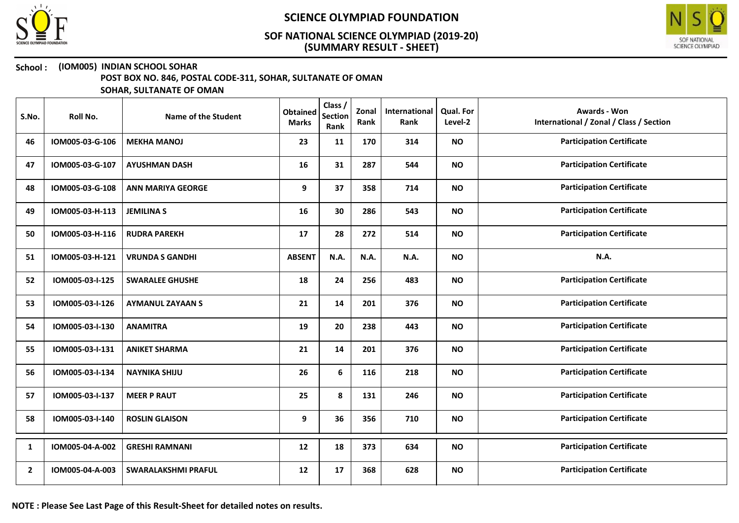



#### School : (IOM005) INDIAN SCHOOL SOHAR

POST BOX NO. 846, POSTAL CODE-311, SOHAR, SULTANATE OF OMAN

| S.No.          | Roll No.        | <b>Name of the Student</b> | <b>Obtained</b><br><b>Marks</b> | Class /<br><b>Section</b><br>Rank | Zonal<br>Rank | International<br>Rank | <b>Qual. For</b><br>Level-2 | <b>Awards - Won</b><br>International / Zonal / Class / Section |
|----------------|-----------------|----------------------------|---------------------------------|-----------------------------------|---------------|-----------------------|-----------------------------|----------------------------------------------------------------|
| 46             | IOM005-03-G-106 | <b>MEKHA MANOJ</b>         | 23                              | 11                                | 170           | 314                   | <b>NO</b>                   | <b>Participation Certificate</b>                               |
| 47             | IOM005-03-G-107 | <b>AYUSHMAN DASH</b>       | 16                              | 31                                | 287           | 544                   | <b>NO</b>                   | <b>Participation Certificate</b>                               |
| 48             | IOM005-03-G-108 | <b>ANN MARIYA GEORGE</b>   | 9                               | 37                                | 358           | 714                   | <b>NO</b>                   | <b>Participation Certificate</b>                               |
| 49             | IOM005-03-H-113 | <b>JEMILINA S</b>          | 16                              | 30                                | 286           | 543                   | <b>NO</b>                   | <b>Participation Certificate</b>                               |
| 50             | IOM005-03-H-116 | <b>RUDRA PAREKH</b>        | 17                              | 28                                | 272           | 514                   | <b>NO</b>                   | <b>Participation Certificate</b>                               |
| 51             | IOM005-03-H-121 | <b>VRUNDA S GANDHI</b>     | <b>ABSENT</b>                   | N.A.                              | N.A.          | <b>N.A.</b>           | <b>NO</b>                   | <b>N.A.</b>                                                    |
| 52             | IOM005-03-I-125 | <b>SWARALEE GHUSHE</b>     | 18                              | 24                                | 256           | 483                   | <b>NO</b>                   | <b>Participation Certificate</b>                               |
| 53             | IOM005-03-I-126 | <b>AYMANUL ZAYAAN S</b>    | 21                              | 14                                | 201           | 376                   | <b>NO</b>                   | <b>Participation Certificate</b>                               |
| 54             | IOM005-03-I-130 | <b>ANAMITRA</b>            | 19                              | 20                                | 238           | 443                   | <b>NO</b>                   | <b>Participation Certificate</b>                               |
| 55             | IOM005-03-I-131 | <b>ANIKET SHARMA</b>       | 21                              | 14                                | 201           | 376                   | <b>NO</b>                   | <b>Participation Certificate</b>                               |
| 56             | IOM005-03-I-134 | <b>NAYNIKA SHIJU</b>       | 26                              | 6                                 | 116           | 218                   | <b>NO</b>                   | <b>Participation Certificate</b>                               |
| 57             | IOM005-03-I-137 | <b>MEER P RAUT</b>         | 25                              | 8                                 | 131           | 246                   | <b>NO</b>                   | <b>Participation Certificate</b>                               |
| 58             | IOM005-03-I-140 | <b>ROSLIN GLAISON</b>      | 9                               | 36                                | 356           | 710                   | <b>NO</b>                   | <b>Participation Certificate</b>                               |
| 1              | IOM005-04-A-002 | <b>GRESHI RAMNANI</b>      | 12                              | 18                                | 373           | 634                   | <b>NO</b>                   | <b>Participation Certificate</b>                               |
| $\overline{2}$ | IOM005-04-A-003 | <b>SWARALAKSHMI PRAFUL</b> | 12                              | 17                                | 368           | 628                   | <b>NO</b>                   | <b>Participation Certificate</b>                               |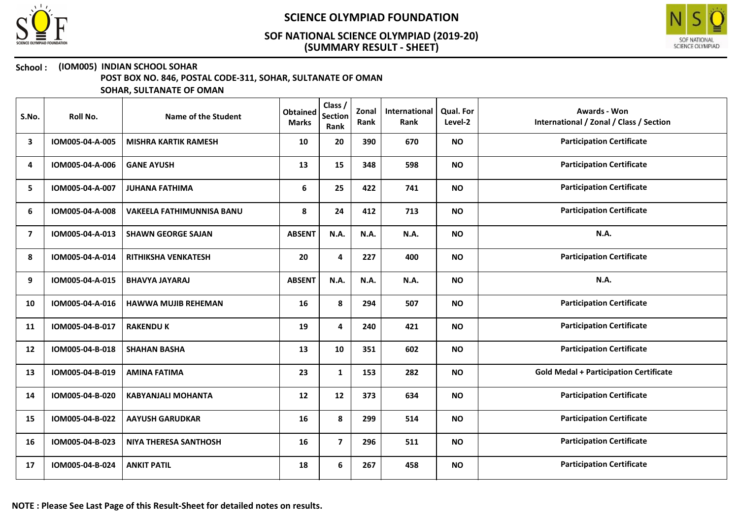



## School : (IOM005) INDIAN SCHOOL SOHAR

POST BOX NO. 846, POSTAL CODE-311, SOHAR, SULTANATE OF OMAN

| S.No. | Roll No.        | Name of the Student              | <b>Obtained</b><br><b>Marks</b> | Class /<br><b>Section</b><br>Rank | Zonal<br>Rank | International<br>Rank | Qual. For<br>Level-2 | <b>Awards - Won</b><br>International / Zonal / Class / Section |
|-------|-----------------|----------------------------------|---------------------------------|-----------------------------------|---------------|-----------------------|----------------------|----------------------------------------------------------------|
| 3     | IOM005-04-A-005 | <b>MISHRA KARTIK RAMESH</b>      | 10                              | 20                                | 390           | 670                   | <b>NO</b>            | <b>Participation Certificate</b>                               |
| 4     | IOM005-04-A-006 | <b>GANE AYUSH</b>                | 13                              | 15                                | 348           | 598                   | <b>NO</b>            | <b>Participation Certificate</b>                               |
| 5     | IOM005-04-A-007 | <b>JUHANA FATHIMA</b>            | 6                               | 25                                | 422           | 741                   | <b>NO</b>            | <b>Participation Certificate</b>                               |
| 6     | IOM005-04-A-008 | <b>VAKEELA FATHIMUNNISA BANU</b> | 8                               | 24                                | 412           | 713                   | <b>NO</b>            | <b>Participation Certificate</b>                               |
| 7     | IOM005-04-A-013 | <b>SHAWN GEORGE SAJAN</b>        | <b>ABSENT</b>                   | N.A.                              | N.A.          | N.A.                  | <b>NO</b>            | <b>N.A.</b>                                                    |
| 8     | IOM005-04-A-014 | <b>RITHIKSHA VENKATESH</b>       | 20                              | 4                                 | 227           | 400                   | <b>NO</b>            | <b>Participation Certificate</b>                               |
| 9     | IOM005-04-A-015 | <b>BHAVYA JAYARAJ</b>            | <b>ABSENT</b>                   | N.A.                              | <b>N.A.</b>   | <b>N.A.</b>           | <b>NO</b>            | N.A.                                                           |
| 10    | IOM005-04-A-016 | <b>HAWWA MUJIB REHEMAN</b>       | 16                              | 8                                 | 294           | 507                   | <b>NO</b>            | <b>Participation Certificate</b>                               |
| 11    | IOM005-04-B-017 | <b>RAKENDU K</b>                 | 19                              | 4                                 | 240           | 421                   | <b>NO</b>            | <b>Participation Certificate</b>                               |
| 12    | IOM005-04-B-018 | <b>SHAHAN BASHA</b>              | 13                              | 10                                | 351           | 602                   | <b>NO</b>            | <b>Participation Certificate</b>                               |
| 13    | IOM005-04-B-019 | <b>AMINA FATIMA</b>              | 23                              | $\mathbf{1}$                      | 153           | 282                   | <b>NO</b>            | <b>Gold Medal + Participation Certificate</b>                  |
| 14    | IOM005-04-B-020 | <b>KABYANJALI MOHANTA</b>        | 12                              | 12                                | 373           | 634                   | <b>NO</b>            | <b>Participation Certificate</b>                               |
| 15    | IOM005-04-B-022 | <b>AAYUSH GARUDKAR</b>           | 16                              | 8                                 | 299           | 514                   | <b>NO</b>            | <b>Participation Certificate</b>                               |
| 16    | IOM005-04-B-023 | <b>NIYA THERESA SANTHOSH</b>     | 16                              | $\overline{\mathbf{z}}$           | 296           | 511                   | <b>NO</b>            | <b>Participation Certificate</b>                               |
| 17    | IOM005-04-B-024 | <b>ANKIT PATIL</b>               | 18                              | 6                                 | 267           | 458                   | <b>NO</b>            | <b>Participation Certificate</b>                               |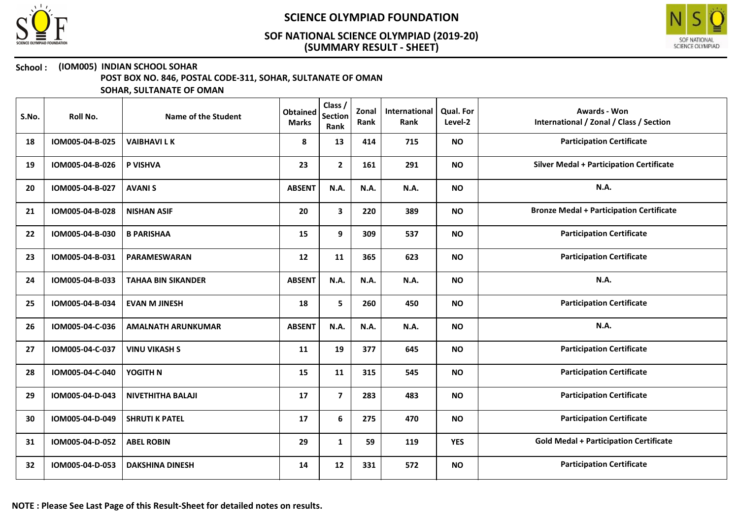



#### School : (IOM005) INDIAN SCHOOL SOHAR

POST BOX NO. 846, POSTAL CODE-311, SOHAR, SULTANATE OF OMAN

| S.No. | Roll No.        | Name of the Student       | <b>Obtained</b><br><b>Marks</b> | Class /<br><b>Section</b><br>Rank | Zonal<br>Rank | International<br>Rank | <b>Qual. For</b><br>Level-2 | <b>Awards - Won</b><br>International / Zonal / Class / Section |
|-------|-----------------|---------------------------|---------------------------------|-----------------------------------|---------------|-----------------------|-----------------------------|----------------------------------------------------------------|
| 18    | IOM005-04-B-025 | <b>VAIBHAVILK</b>         | 8                               | 13                                | 414           | 715                   | <b>NO</b>                   | <b>Participation Certificate</b>                               |
| 19    | IOM005-04-B-026 | P VISHVA                  | 23                              | $\mathbf{2}$                      | 161           | 291                   | <b>NO</b>                   | <b>Silver Medal + Participation Certificate</b>                |
| 20    | IOM005-04-B-027 | <b>AVANIS</b>             | <b>ABSENT</b>                   | N.A.                              | N.A.          | N.A.                  | <b>NO</b>                   | N.A.                                                           |
| 21    | IOM005-04-B-028 | <b>NISHAN ASIF</b>        | 20                              | 3                                 | 220           | 389                   | <b>NO</b>                   | <b>Bronze Medal + Participation Certificate</b>                |
| 22    | IOM005-04-B-030 | <b>B PARISHAA</b>         | 15                              | 9                                 | 309           | 537                   | <b>NO</b>                   | <b>Participation Certificate</b>                               |
| 23    | IOM005-04-B-031 | <b>PARAMESWARAN</b>       | 12                              | 11                                | 365           | 623                   | <b>NO</b>                   | <b>Participation Certificate</b>                               |
| 24    | IOM005-04-B-033 | <b>TAHAA BIN SIKANDER</b> | <b>ABSENT</b>                   | N.A.                              | N.A.          | N.A.                  | <b>NO</b>                   | N.A.                                                           |
| 25    | IOM005-04-B-034 | <b>EVAN M JINESH</b>      | 18                              | 5                                 | 260           | 450                   | <b>NO</b>                   | <b>Participation Certificate</b>                               |
| 26    | IOM005-04-C-036 | <b>AMALNATH ARUNKUMAR</b> | <b>ABSENT</b>                   | N.A.                              | <b>N.A.</b>   | N.A.                  | <b>NO</b>                   | N.A.                                                           |
| 27    | IOM005-04-C-037 | <b>VINU VIKASH S</b>      | 11                              | 19                                | 377           | 645                   | <b>NO</b>                   | <b>Participation Certificate</b>                               |
| 28    | IOM005-04-C-040 | YOGITH N                  | 15                              | 11                                | 315           | 545                   | <b>NO</b>                   | <b>Participation Certificate</b>                               |
| 29    | IOM005-04-D-043 | <b>NIVETHITHA BALAJI</b>  | 17                              | $\overline{\mathbf{z}}$           | 283           | 483                   | <b>NO</b>                   | <b>Participation Certificate</b>                               |
| 30    | IOM005-04-D-049 | <b>SHRUTI K PATEL</b>     | 17                              | 6                                 | 275           | 470                   | <b>NO</b>                   | <b>Participation Certificate</b>                               |
| 31    | IOM005-04-D-052 | <b>ABEL ROBIN</b>         | 29                              | $\mathbf{1}$                      | 59            | 119                   | <b>YES</b>                  | <b>Gold Medal + Participation Certificate</b>                  |
| 32    | IOM005-04-D-053 | <b>DAKSHINA DINESH</b>    | 14                              | 12                                | 331           | 572                   | <b>NO</b>                   | <b>Participation Certificate</b>                               |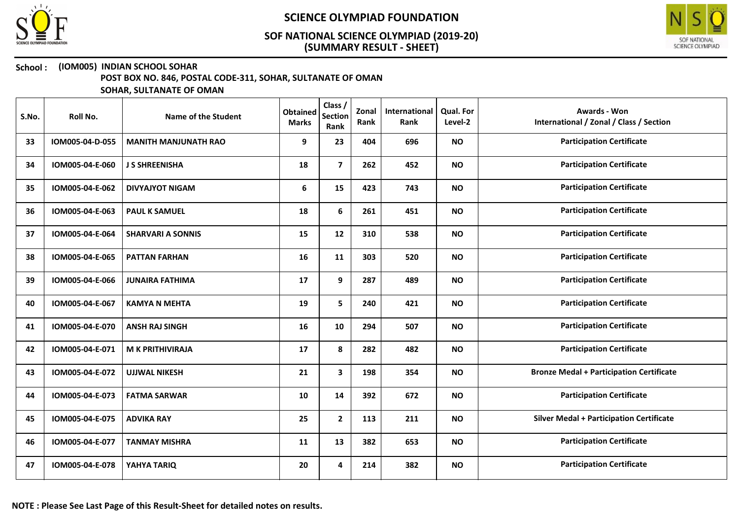



#### School : (IOM005) INDIAN SCHOOL SOHAR

POST BOX NO. 846, POSTAL CODE-311, SOHAR, SULTANATE OF OMAN

| S.No. | Roll No.        | Name of the Student         | <b>Obtained</b><br><b>Marks</b> | Class /<br><b>Section</b><br>Rank | Zonal<br>Rank | International<br>Rank | <b>Qual. For</b><br>Level-2 | <b>Awards - Won</b><br>International / Zonal / Class / Section |
|-------|-----------------|-----------------------------|---------------------------------|-----------------------------------|---------------|-----------------------|-----------------------------|----------------------------------------------------------------|
| 33    | IOM005-04-D-055 | <b>MANITH MANJUNATH RAO</b> | 9                               | 23                                | 404           | 696                   | <b>NO</b>                   | <b>Participation Certificate</b>                               |
| 34    | IOM005-04-E-060 | <b>J S SHREENISHA</b>       | 18                              | $\overline{7}$                    | 262           | 452                   | <b>NO</b>                   | <b>Participation Certificate</b>                               |
| 35    | IOM005-04-E-062 | <b>DIVYAJYOT NIGAM</b>      | 6                               | 15                                | 423           | 743                   | <b>NO</b>                   | <b>Participation Certificate</b>                               |
| 36    | IOM005-04-E-063 | <b>PAUL K SAMUEL</b>        | 18                              | 6                                 | 261           | 451                   | <b>NO</b>                   | <b>Participation Certificate</b>                               |
| 37    | IOM005-04-E-064 | <b>SHARVARI A SONNIS</b>    | 15                              | 12                                | 310           | 538                   | <b>NO</b>                   | <b>Participation Certificate</b>                               |
| 38    | IOM005-04-E-065 | <b>PATTAN FARHAN</b>        | 16                              | 11                                | 303           | 520                   | <b>NO</b>                   | <b>Participation Certificate</b>                               |
| 39    | IOM005-04-E-066 | <b>JUNAIRA FATHIMA</b>      | 17                              | 9                                 | 287           | 489                   | <b>NO</b>                   | <b>Participation Certificate</b>                               |
| 40    | IOM005-04-E-067 | <b>KAMYA N MEHTA</b>        | 19                              | 5                                 | 240           | 421                   | <b>NO</b>                   | <b>Participation Certificate</b>                               |
| 41    | IOM005-04-E-070 | <b>ANSH RAJ SINGH</b>       | 16                              | 10                                | 294           | 507                   | <b>NO</b>                   | <b>Participation Certificate</b>                               |
| 42    | IOM005-04-E-071 | <b>M K PRITHIVIRAJA</b>     | 17                              | 8                                 | 282           | 482                   | <b>NO</b>                   | <b>Participation Certificate</b>                               |
| 43    | IOM005-04-E-072 | <b>UJJWAL NIKESH</b>        | 21                              | 3                                 | 198           | 354                   | <b>NO</b>                   | <b>Bronze Medal + Participation Certificate</b>                |
| 44    | IOM005-04-E-073 | <b>FATMA SARWAR</b>         | 10                              | 14                                | 392           | 672                   | <b>NO</b>                   | <b>Participation Certificate</b>                               |
| 45    | IOM005-04-E-075 | <b>ADVIKA RAY</b>           | 25                              | $\overline{2}$                    | 113           | 211                   | <b>NO</b>                   | <b>Silver Medal + Participation Certificate</b>                |
| 46    | IOM005-04-E-077 | <b>TANMAY MISHRA</b>        | 11                              | 13                                | 382           | 653                   | <b>NO</b>                   | <b>Participation Certificate</b>                               |
| 47    | IOM005-04-E-078 | YAHYA TARIQ                 | 20                              | 4                                 | 214           | 382                   | <b>NO</b>                   | <b>Participation Certificate</b>                               |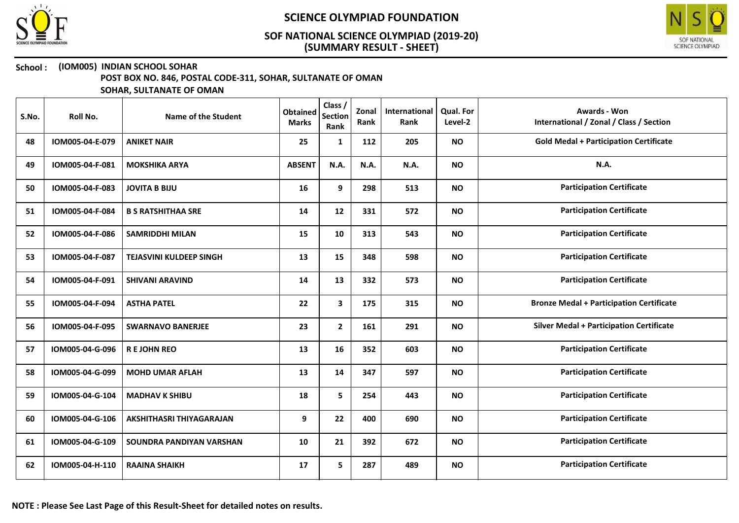



#### School : (IOM005) INDIAN SCHOOL SOHAR

POST BOX NO. 846, POSTAL CODE-311, SOHAR, SULTANATE OF OMAN

| S.No. | Roll No.        | Name of the Student            | <b>Obtained</b><br><b>Marks</b> | Class /<br><b>Section</b><br>Rank | Zonal<br>Rank | International<br>Rank | <b>Qual. For</b><br>Level-2 | <b>Awards - Won</b><br>International / Zonal / Class / Section |
|-------|-----------------|--------------------------------|---------------------------------|-----------------------------------|---------------|-----------------------|-----------------------------|----------------------------------------------------------------|
| 48    | IOM005-04-E-079 | <b>ANIKET NAIR</b>             | 25                              | 1                                 | 112           | 205                   | <b>NO</b>                   | <b>Gold Medal + Participation Certificate</b>                  |
| 49    | IOM005-04-F-081 | <b>MOKSHIKA ARYA</b>           | <b>ABSENT</b>                   | <b>N.A.</b>                       | N.A.          | N.A.                  | <b>NO</b>                   | N.A.                                                           |
| 50    | IOM005-04-F-083 | <b>JOVITA B BIJU</b>           | 16                              | 9                                 | 298           | 513                   | <b>NO</b>                   | <b>Participation Certificate</b>                               |
| 51    | IOM005-04-F-084 | <b>B S RATSHITHAA SRE</b>      | 14                              | 12                                | 331           | 572                   | <b>NO</b>                   | <b>Participation Certificate</b>                               |
| 52    | IOM005-04-F-086 | <b>SAMRIDDHI MILAN</b>         | 15                              | 10                                | 313           | 543                   | <b>NO</b>                   | <b>Participation Certificate</b>                               |
| 53    | IOM005-04-F-087 | <b>TEJASVINI KULDEEP SINGH</b> | 13                              | 15                                | 348           | 598                   | <b>NO</b>                   | <b>Participation Certificate</b>                               |
| 54    | IOM005-04-F-091 | <b>SHIVANI ARAVIND</b>         | 14                              | 13                                | 332           | 573                   | <b>NO</b>                   | <b>Participation Certificate</b>                               |
| 55    | IOM005-04-F-094 | <b>ASTHA PATEL</b>             | 22                              | 3                                 | 175           | 315                   | <b>NO</b>                   | <b>Bronze Medal + Participation Certificate</b>                |
| 56    | IOM005-04-F-095 | <b>SWARNAVO BANERJEE</b>       | 23                              | $\overline{2}$                    | 161           | 291                   | <b>NO</b>                   | <b>Silver Medal + Participation Certificate</b>                |
| 57    | IOM005-04-G-096 | <b>REJOHN REO</b>              | 13                              | 16                                | 352           | 603                   | <b>NO</b>                   | <b>Participation Certificate</b>                               |
| 58    | IOM005-04-G-099 | <b>MOHD UMAR AFLAH</b>         | 13                              | 14                                | 347           | 597                   | <b>NO</b>                   | <b>Participation Certificate</b>                               |
| 59    | IOM005-04-G-104 | <b>MADHAV K SHIBU</b>          | 18                              | 5                                 | 254           | 443                   | <b>NO</b>                   | <b>Participation Certificate</b>                               |
| 60    | IOM005-04-G-106 | AKSHITHASRI THIYAGARAJAN       | 9                               | 22                                | 400           | 690                   | <b>NO</b>                   | <b>Participation Certificate</b>                               |
| 61    | IOM005-04-G-109 | SOUNDRA PANDIYAN VARSHAN       | 10                              | 21                                | 392           | 672                   | <b>NO</b>                   | <b>Participation Certificate</b>                               |
| 62    | IOM005-04-H-110 | <b>RAAINA SHAIKH</b>           | 17                              | 5                                 | 287           | 489                   | <b>NO</b>                   | <b>Participation Certificate</b>                               |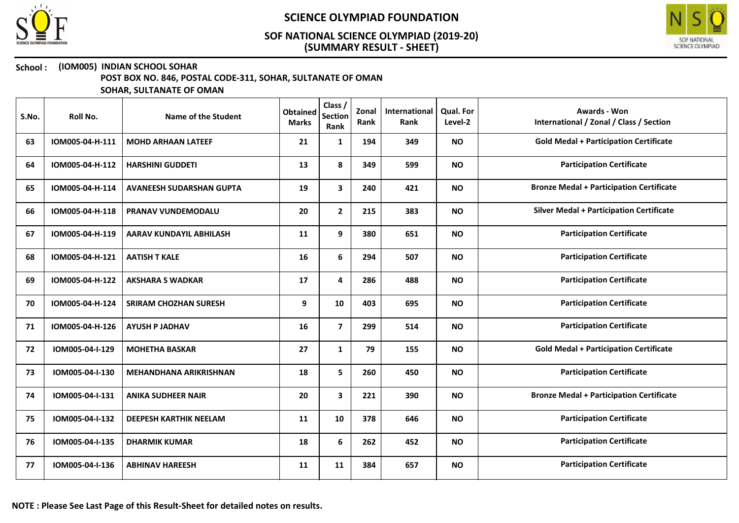



## School : (IOM005) INDIAN SCHOOL SOHAR

POST BOX NO. 846, POSTAL CODE-311, SOHAR, SULTANATE OF OMAN

| S.No. | Roll No.        | Name of the Student             | <b>Obtained</b><br><b>Marks</b> | Class /<br><b>Section</b><br>Rank | Zonal<br>Rank | International<br>Rank | <b>Qual. For</b><br>Level-2 | <b>Awards - Won</b><br>International / Zonal / Class / Section |
|-------|-----------------|---------------------------------|---------------------------------|-----------------------------------|---------------|-----------------------|-----------------------------|----------------------------------------------------------------|
| 63    | IOM005-04-H-111 | <b>MOHD ARHAAN LATEEF</b>       | 21                              | 1                                 | 194           | 349                   | <b>NO</b>                   | <b>Gold Medal + Participation Certificate</b>                  |
| 64    | IOM005-04-H-112 | <b>HARSHINI GUDDETI</b>         | 13                              | 8                                 | 349           | 599                   | <b>NO</b>                   | <b>Participation Certificate</b>                               |
| 65    | IOM005-04-H-114 | <b>AVANEESH SUDARSHAN GUPTA</b> | 19                              | 3                                 | 240           | 421                   | <b>NO</b>                   | <b>Bronze Medal + Participation Certificate</b>                |
| 66    | IOM005-04-H-118 | <b>PRANAV VUNDEMODALU</b>       | 20                              | $\mathbf{2}$                      | 215           | 383                   | <b>NO</b>                   | <b>Silver Medal + Participation Certificate</b>                |
| 67    | IOM005-04-H-119 | <b>AARAV KUNDAYIL ABHILASH</b>  | 11                              | 9                                 | 380           | 651                   | <b>NO</b>                   | <b>Participation Certificate</b>                               |
| 68    | IOM005-04-H-121 | <b>AATISH T KALE</b>            | 16                              | 6                                 | 294           | 507                   | <b>NO</b>                   | <b>Participation Certificate</b>                               |
| 69    | IOM005-04-H-122 | <b>AKSHARA S WADKAR</b>         | 17                              | 4                                 | 286           | 488                   | <b>NO</b>                   | <b>Participation Certificate</b>                               |
| 70    | IOM005-04-H-124 | <b>SRIRAM CHOZHAN SURESH</b>    | 9                               | 10                                | 403           | 695                   | <b>NO</b>                   | <b>Participation Certificate</b>                               |
| 71    | IOM005-04-H-126 | <b>AYUSH P JADHAV</b>           | 16                              | $\overline{7}$                    | 299           | 514                   | <b>NO</b>                   | <b>Participation Certificate</b>                               |
| 72    | IOM005-04-I-129 | <b>MOHETHA BASKAR</b>           | 27                              | $\mathbf{1}$                      | 79            | 155                   | <b>NO</b>                   | <b>Gold Medal + Participation Certificate</b>                  |
| 73    | IOM005-04-I-130 | <b>MEHANDHANA ARIKRISHNAN</b>   | 18                              | 5                                 | 260           | 450                   | <b>NO</b>                   | <b>Participation Certificate</b>                               |
| 74    | IOM005-04-I-131 | <b>ANIKA SUDHEER NAIR</b>       | 20                              | $\mathbf{3}$                      | 221           | 390                   | <b>NO</b>                   | <b>Bronze Medal + Participation Certificate</b>                |
| 75    | IOM005-04-I-132 | <b>DEEPESH KARTHIK NEELAM</b>   | 11                              | 10                                | 378           | 646                   | <b>NO</b>                   | <b>Participation Certificate</b>                               |
| 76    | IOM005-04-I-135 | <b>DHARMIK KUMAR</b>            | 18                              | 6                                 | 262           | 452                   | <b>NO</b>                   | <b>Participation Certificate</b>                               |
| 77    | IOM005-04-I-136 | <b>ABHINAV HAREESH</b>          | 11                              | 11                                | 384           | 657                   | <b>NO</b>                   | <b>Participation Certificate</b>                               |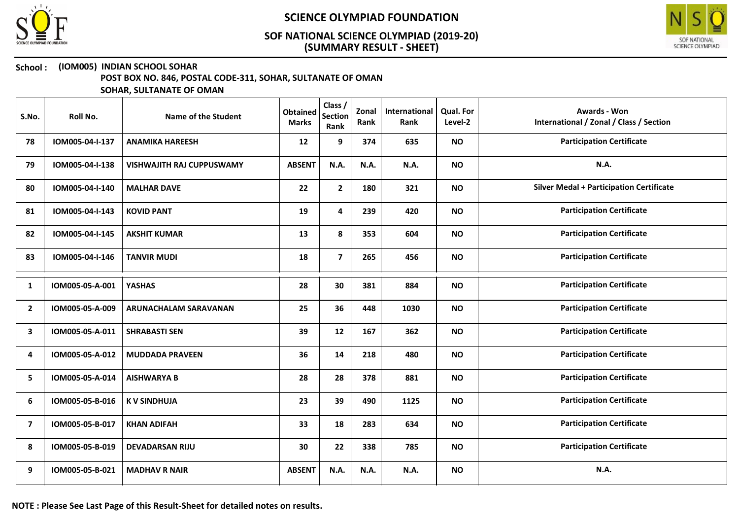



#### School : (IOM005) INDIAN SCHOOL SOHAR

POST BOX NO. 846, POSTAL CODE-311, SOHAR, SULTANATE OF OMAN

| S.No.          | Roll No.        | <b>Name of the Student</b>       | <b>Obtained</b><br><b>Marks</b> | Class /<br><b>Section</b><br>Rank | Zonal<br>Rank | International<br>Rank | <b>Qual. For</b><br>Level-2 | <b>Awards - Won</b><br>International / Zonal / Class / Section |
|----------------|-----------------|----------------------------------|---------------------------------|-----------------------------------|---------------|-----------------------|-----------------------------|----------------------------------------------------------------|
| 78             | IOM005-04-I-137 | <b>ANAMIKA HAREESH</b>           | 12                              | 9                                 | 374           | 635                   | <b>NO</b>                   | <b>Participation Certificate</b>                               |
| 79             | IOM005-04-I-138 | <b>VISHWAJITH RAJ CUPPUSWAMY</b> | <b>ABSENT</b>                   | N.A.                              | N.A.          | N.A.                  | <b>NO</b>                   | <b>N.A.</b>                                                    |
| 80             | IOM005-04-I-140 | <b>MALHAR DAVE</b>               | 22                              | $\mathbf{2}$                      | 180           | 321                   | <b>NO</b>                   | <b>Silver Medal + Participation Certificate</b>                |
| 81             | IOM005-04-I-143 | <b>KOVID PANT</b>                | 19                              | 4                                 | 239           | 420                   | <b>NO</b>                   | <b>Participation Certificate</b>                               |
| 82             | IOM005-04-I-145 | <b>AKSHIT KUMAR</b>              | 13                              | 8                                 | 353           | 604                   | <b>NO</b>                   | <b>Participation Certificate</b>                               |
| 83             | IOM005-04-I-146 | <b>TANVIR MUDI</b>               | 18                              | $\overline{7}$                    | 265           | 456                   | <b>NO</b>                   | <b>Participation Certificate</b>                               |
| 1              | IOM005-05-A-001 | <b>YASHAS</b>                    | 28                              | 30                                | 381           | 884                   | <b>NO</b>                   | <b>Participation Certificate</b>                               |
| $\overline{2}$ | IOM005-05-A-009 | <b>ARUNACHALAM SARAVANAN</b>     | 25                              | 36                                | 448           | 1030                  | <b>NO</b>                   | <b>Participation Certificate</b>                               |
| 3              | IOM005-05-A-011 | <b>SHRABASTI SEN</b>             | 39                              | 12                                | 167           | 362                   | <b>NO</b>                   | <b>Participation Certificate</b>                               |
| 4              | IOM005-05-A-012 | <b>MUDDADA PRAVEEN</b>           | 36                              | 14                                | 218           | 480                   | <b>NO</b>                   | <b>Participation Certificate</b>                               |
| 5              | IOM005-05-A-014 | <b>AISHWARYA B</b>               | 28                              | 28                                | 378           | 881                   | <b>NO</b>                   | <b>Participation Certificate</b>                               |
| 6              | IOM005-05-B-016 | <b>KV SINDHUJA</b>               | 23                              | 39                                | 490           | 1125                  | <b>NO</b>                   | <b>Participation Certificate</b>                               |
| $\overline{ }$ | IOM005-05-B-017 | <b>KHAN ADIFAH</b>               | 33                              | 18                                | 283           | 634                   | <b>NO</b>                   | <b>Participation Certificate</b>                               |
| 8              | IOM005-05-B-019 | <b>DEVADARSAN RIJU</b>           | 30                              | 22                                | 338           | 785                   | <b>NO</b>                   | <b>Participation Certificate</b>                               |
| 9              | IOM005-05-B-021 | <b>MADHAV R NAIR</b>             | <b>ABSENT</b>                   | N.A.                              | N.A.          | N.A.                  | <b>NO</b>                   | N.A.                                                           |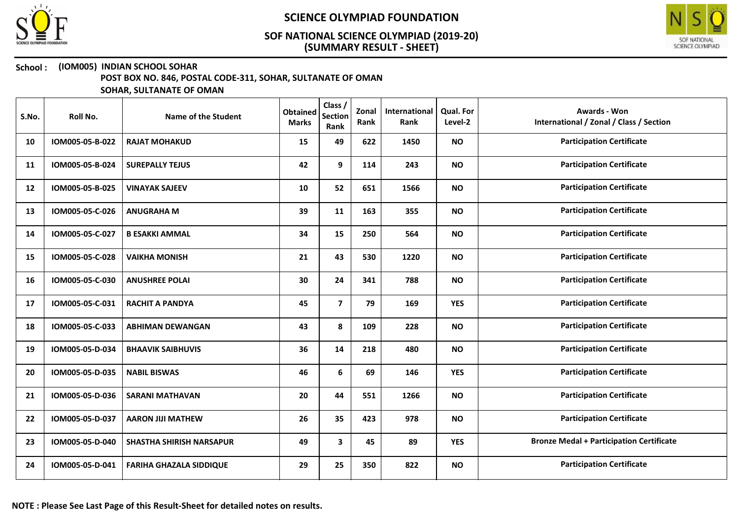



### School : (IOM005) INDIAN SCHOOL SOHAR

POST BOX NO. 846, POSTAL CODE-311, SOHAR, SULTANATE OF OMAN

| S.No. | Roll No.        | Name of the Student             | <b>Obtained</b><br><b>Marks</b> | Class /<br><b>Section</b><br>Rank | Zonal<br>Rank | International<br>Rank | Qual. For<br>Level-2 | <b>Awards - Won</b><br>International / Zonal / Class / Section |
|-------|-----------------|---------------------------------|---------------------------------|-----------------------------------|---------------|-----------------------|----------------------|----------------------------------------------------------------|
| 10    | IOM005-05-B-022 | <b>RAJAT MOHAKUD</b>            | 15                              | 49                                | 622           | 1450                  | <b>NO</b>            | <b>Participation Certificate</b>                               |
| 11    | IOM005-05-B-024 | <b>SUREPALLY TEJUS</b>          | 42                              | 9                                 | 114           | 243                   | <b>NO</b>            | <b>Participation Certificate</b>                               |
| 12    | IOM005-05-B-025 | <b>VINAYAK SAJEEV</b>           | 10                              | 52                                | 651           | 1566                  | <b>NO</b>            | <b>Participation Certificate</b>                               |
| 13    | IOM005-05-C-026 | <b>ANUGRAHA M</b>               | 39                              | 11                                | 163           | 355                   | <b>NO</b>            | <b>Participation Certificate</b>                               |
| 14    | IOM005-05-C-027 | <b>B ESAKKI AMMAL</b>           | 34                              | 15                                | 250           | 564                   | <b>NO</b>            | <b>Participation Certificate</b>                               |
| 15    | IOM005-05-C-028 | <b>VAIKHA MONISH</b>            | 21                              | 43                                | 530           | 1220                  | <b>NO</b>            | <b>Participation Certificate</b>                               |
| 16    | IOM005-05-C-030 | <b>ANUSHREE POLAI</b>           | 30                              | 24                                | 341           | 788                   | <b>NO</b>            | <b>Participation Certificate</b>                               |
| 17    | IOM005-05-C-031 | <b>RACHIT A PANDYA</b>          | 45                              | $\overline{7}$                    | 79            | 169                   | <b>YES</b>           | <b>Participation Certificate</b>                               |
| 18    | IOM005-05-C-033 | <b>ABHIMAN DEWANGAN</b>         | 43                              | 8                                 | 109           | 228                   | <b>NO</b>            | <b>Participation Certificate</b>                               |
| 19    | IOM005-05-D-034 | <b>BHAAVIK SAIBHUVIS</b>        | 36                              | 14                                | 218           | 480                   | <b>NO</b>            | <b>Participation Certificate</b>                               |
| 20    | IOM005-05-D-035 | <b>NABIL BISWAS</b>             | 46                              | 6                                 | 69            | 146                   | <b>YES</b>           | <b>Participation Certificate</b>                               |
| 21    | IOM005-05-D-036 | <b>SARANI MATHAVAN</b>          | 20                              | 44                                | 551           | 1266                  | <b>NO</b>            | <b>Participation Certificate</b>                               |
| 22    | IOM005-05-D-037 | <b>AARON JIJI MATHEW</b>        | 26                              | 35                                | 423           | 978                   | <b>NO</b>            | <b>Participation Certificate</b>                               |
| 23    | IOM005-05-D-040 | <b>SHASTHA SHIRISH NARSAPUR</b> | 49                              | 3                                 | 45            | 89                    | <b>YES</b>           | <b>Bronze Medal + Participation Certificate</b>                |
| 24    | IOM005-05-D-041 | <b>FARIHA GHAZALA SIDDIQUE</b>  | 29                              | 25                                | 350           | 822                   | <b>NO</b>            | <b>Participation Certificate</b>                               |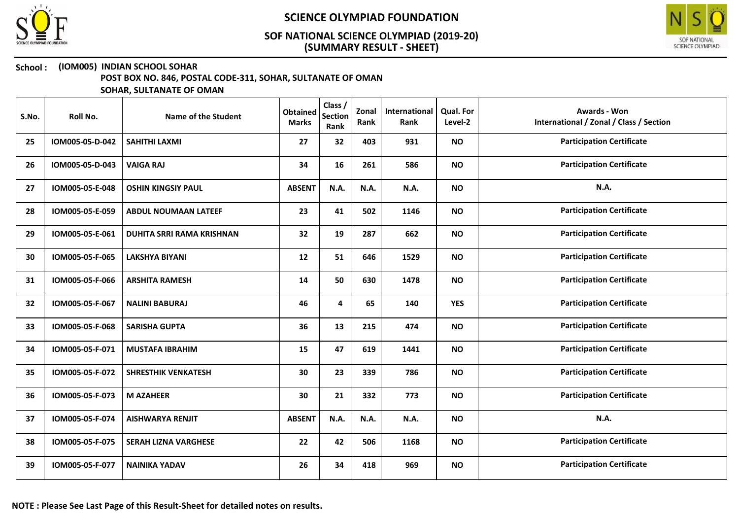



#### School : (IOM005) INDIAN SCHOOL SOHAR

POST BOX NO. 846, POSTAL CODE-311, SOHAR, SULTANATE OF OMAN

| S.No. | Roll No.        | Name of the Student              | <b>Obtained</b><br><b>Marks</b> | Class /<br><b>Section</b><br>Rank | Zonal<br>Rank | International<br>Rank | Qual. For<br>Level-2 | <b>Awards - Won</b><br>International / Zonal / Class / Section |
|-------|-----------------|----------------------------------|---------------------------------|-----------------------------------|---------------|-----------------------|----------------------|----------------------------------------------------------------|
| 25    | IOM005-05-D-042 | SAHITHI LAXMI                    | 27                              | 32                                | 403           | 931                   | <b>NO</b>            | <b>Participation Certificate</b>                               |
| 26    | IOM005-05-D-043 | <b>VAIGA RAJ</b>                 | 34                              | 16                                | 261           | 586                   | <b>NO</b>            | <b>Participation Certificate</b>                               |
| 27    | IOM005-05-E-048 | <b>OSHIN KINGSIY PAUL</b>        | <b>ABSENT</b>                   | N.A.                              | N.A.          | N.A.                  | <b>NO</b>            | <b>N.A.</b>                                                    |
| 28    | IOM005-05-E-059 | <b>ABDUL NOUMAAN LATEEF</b>      | 23                              | 41                                | 502           | 1146                  | <b>NO</b>            | <b>Participation Certificate</b>                               |
| 29    | IOM005-05-E-061 | <b>DUHITA SRRI RAMA KRISHNAN</b> | 32                              | 19                                | 287           | 662                   | <b>NO</b>            | <b>Participation Certificate</b>                               |
| 30    | IOM005-05-F-065 | <b>LAKSHYA BIYANI</b>            | 12                              | 51                                | 646           | 1529                  | <b>NO</b>            | <b>Participation Certificate</b>                               |
| 31    | IOM005-05-F-066 | <b>ARSHITA RAMESH</b>            | 14                              | 50                                | 630           | 1478                  | <b>NO</b>            | <b>Participation Certificate</b>                               |
| 32    | IOM005-05-F-067 | <b>NALINI BABURAJ</b>            | 46                              | 4                                 | 65            | 140                   | <b>YES</b>           | <b>Participation Certificate</b>                               |
| 33    | IOM005-05-F-068 | <b>SARISHA GUPTA</b>             | 36                              | 13                                | 215           | 474                   | <b>NO</b>            | <b>Participation Certificate</b>                               |
| 34    | IOM005-05-F-071 | <b>MUSTAFA IBRAHIM</b>           | 15                              | 47                                | 619           | 1441                  | <b>NO</b>            | <b>Participation Certificate</b>                               |
| 35    | IOM005-05-F-072 | <b>SHRESTHIK VENKATESH</b>       | 30                              | 23                                | 339           | 786                   | <b>NO</b>            | <b>Participation Certificate</b>                               |
| 36    | IOM005-05-F-073 | <b>M AZAHEER</b>                 | 30                              | 21                                | 332           | 773                   | <b>NO</b>            | <b>Participation Certificate</b>                               |
| 37    | IOM005-05-F-074 | <b>AISHWARYA RENJIT</b>          | <b>ABSENT</b>                   | N.A.                              | N.A.          | N.A.                  | <b>NO</b>            | N.A.                                                           |
| 38    | IOM005-05-F-075 | <b>SERAH LIZNA VARGHESE</b>      | 22                              | 42                                | 506           | 1168                  | <b>NO</b>            | <b>Participation Certificate</b>                               |
| 39    | IOM005-05-F-077 | <b>NAINIKA YADAV</b>             | 26                              | 34                                | 418           | 969                   | <b>NO</b>            | <b>Participation Certificate</b>                               |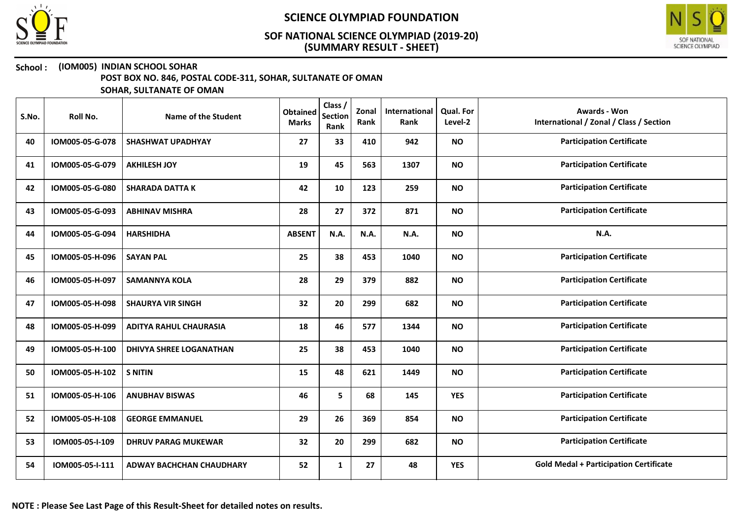



#### School : (IOM005) INDIAN SCHOOL SOHAR

POST BOX NO. 846, POSTAL CODE-311, SOHAR, SULTANATE OF OMAN

| S.No. | Roll No.        | Name of the Student             | <b>Obtained</b><br><b>Marks</b> | Class /<br><b>Section</b><br>Rank | Zonal<br>Rank | International<br>Rank | <b>Qual. For</b><br>Level-2 | <b>Awards - Won</b><br>International / Zonal / Class / Section |
|-------|-----------------|---------------------------------|---------------------------------|-----------------------------------|---------------|-----------------------|-----------------------------|----------------------------------------------------------------|
| 40    | IOM005-05-G-078 | <b>SHASHWAT UPADHYAY</b>        | 27                              | 33                                | 410           | 942                   | <b>NO</b>                   | <b>Participation Certificate</b>                               |
| 41    | IOM005-05-G-079 | <b>AKHILESH JOY</b>             | 19                              | 45                                | 563           | 1307                  | <b>NO</b>                   | <b>Participation Certificate</b>                               |
| 42    | IOM005-05-G-080 | <b>SHARADA DATTA K</b>          | 42                              | 10                                | 123           | 259                   | <b>NO</b>                   | <b>Participation Certificate</b>                               |
| 43    | IOM005-05-G-093 | <b>ABHINAV MISHRA</b>           | 28                              | 27                                | 372           | 871                   | <b>NO</b>                   | <b>Participation Certificate</b>                               |
| 44    | IOM005-05-G-094 | <b>HARSHIDHA</b>                | <b>ABSENT</b>                   | N.A.                              | N.A.          | N.A.                  | <b>NO</b>                   | N.A.                                                           |
| 45    | IOM005-05-H-096 | <b>SAYAN PAL</b>                | 25                              | 38                                | 453           | 1040                  | <b>NO</b>                   | <b>Participation Certificate</b>                               |
| 46    | IOM005-05-H-097 | <b>SAMANNYA KOLA</b>            | 28                              | 29                                | 379           | 882                   | <b>NO</b>                   | <b>Participation Certificate</b>                               |
| 47    | IOM005-05-H-098 | <b>SHAURYA VIR SINGH</b>        | 32                              | 20                                | 299           | 682                   | <b>NO</b>                   | <b>Participation Certificate</b>                               |
| 48    | IOM005-05-H-099 | <b>ADITYA RAHUL CHAURASIA</b>   | 18                              | 46                                | 577           | 1344                  | <b>NO</b>                   | <b>Participation Certificate</b>                               |
| 49    | IOM005-05-H-100 | <b>DHIVYA SHREE LOGANATHAN</b>  | 25                              | 38                                | 453           | 1040                  | <b>NO</b>                   | <b>Participation Certificate</b>                               |
| 50    | IOM005-05-H-102 | <b>S NITIN</b>                  | 15                              | 48                                | 621           | 1449                  | <b>NO</b>                   | <b>Participation Certificate</b>                               |
| 51    | IOM005-05-H-106 | <b>ANUBHAV BISWAS</b>           | 46                              | 5                                 | 68            | 145                   | <b>YES</b>                  | <b>Participation Certificate</b>                               |
| 52    | IOM005-05-H-108 | <b>GEORGE EMMANUEL</b>          | 29                              | 26                                | 369           | 854                   | <b>NO</b>                   | <b>Participation Certificate</b>                               |
| 53    | IOM005-05-I-109 | <b>DHRUV PARAG MUKEWAR</b>      | 32                              | 20                                | 299           | 682                   | <b>NO</b>                   | <b>Participation Certificate</b>                               |
| 54    | IOM005-05-I-111 | <b>ADWAY BACHCHAN CHAUDHARY</b> | 52                              | $\mathbf{1}$                      | 27            | 48                    | <b>YES</b>                  | <b>Gold Medal + Participation Certificate</b>                  |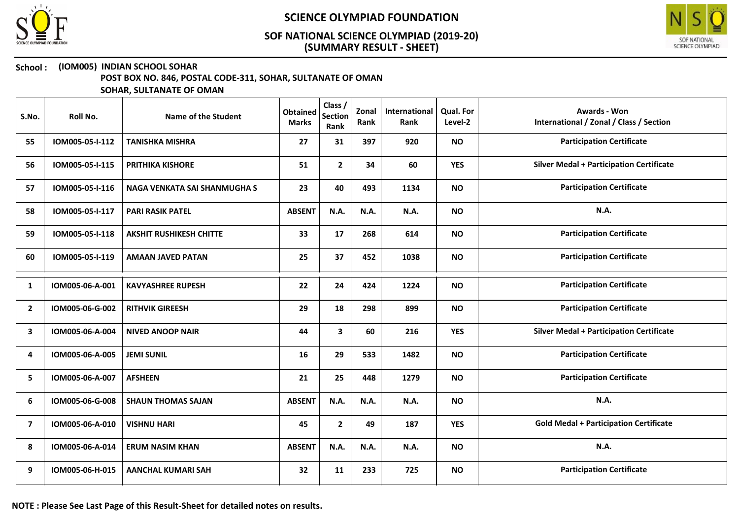



### School : (IOM005) INDIAN SCHOOL SOHAR

POST BOX NO. 846, POSTAL CODE-311, SOHAR, SULTANATE OF OMAN

SOHAR, SULTANATE OF OMAN

| S.No.          | Roll No.        | Name of the Student            | <b>Obtained</b><br><b>Marks</b> | Class /<br><b>Section</b><br>Rank | Zonal<br>Rank | International<br>Rank | <b>Qual. For</b><br>Level-2 | <b>Awards - Won</b><br>International / Zonal / Class / Section |
|----------------|-----------------|--------------------------------|---------------------------------|-----------------------------------|---------------|-----------------------|-----------------------------|----------------------------------------------------------------|
| 55             | IOM005-05-I-112 | <b>TANISHKA MISHRA</b>         | 27                              | 31                                | 397           | 920                   | <b>NO</b>                   | <b>Participation Certificate</b>                               |
| 56             | IOM005-05-I-115 | <b>PRITHIKA KISHORE</b>        | 51                              | $\mathbf{2}$                      | 34            | 60                    | <b>YES</b>                  | <b>Silver Medal + Participation Certificate</b>                |
| 57             | IOM005-05-I-116 | NAGA VENKATA SAI SHANMUGHA S   | 23                              | 40                                | 493           | 1134                  | <b>NO</b>                   | <b>Participation Certificate</b>                               |
| 58             | IOM005-05-I-117 | <b>PARI RASIK PATEL</b>        | <b>ABSENT</b>                   | N.A.                              | N.A.          | N.A.                  | <b>NO</b>                   | N.A.                                                           |
| 59             | IOM005-05-I-118 | <b>AKSHIT RUSHIKESH CHITTE</b> | 33                              | 17                                | 268           | 614                   | <b>NO</b>                   | <b>Participation Certificate</b>                               |
| 60             | IOM005-05-I-119 | <b>AMAAN JAVED PATAN</b>       | 25                              | 37                                | 452           | 1038                  | <b>NO</b>                   | <b>Participation Certificate</b>                               |
| 1              | IOM005-06-A-001 | <b>KAVYASHREE RUPESH</b>       | 22                              | 24                                | 424           | 1224                  | <b>NO</b>                   | <b>Participation Certificate</b>                               |
| $\overline{2}$ | IOM005-06-G-002 | <b>RITHVIK GIREESH</b>         | 29                              | 18                                | 298           | 899                   | <b>NO</b>                   | <b>Participation Certificate</b>                               |
| 3              | IOM005-06-A-004 | <b>NIVED ANOOP NAIR</b>        | 44                              | 3                                 | 60            | 216                   | <b>YES</b>                  | <b>Silver Medal + Participation Certificate</b>                |
| 4              | IOM005-06-A-005 | <b>JEMI SUNIL</b>              | 16                              | 29                                | 533           | 1482                  | <b>NO</b>                   | <b>Participation Certificate</b>                               |
| 5              | IOM005-06-A-007 | <b>AFSHEEN</b>                 | 21                              | 25                                | 448           | 1279                  | <b>NO</b>                   | <b>Participation Certificate</b>                               |
| 6              | IOM005-06-G-008 | <b>SHAUN THOMAS SAJAN</b>      | <b>ABSENT</b>                   | N.A.                              | N.A.          | N.A.                  | <b>NO</b>                   | N.A.                                                           |
| 7              | IOM005-06-A-010 | <b>VISHNU HARI</b>             | 45                              | $\mathbf{2}$                      | 49            | 187                   | <b>YES</b>                  | <b>Gold Medal + Participation Certificate</b>                  |
| 8              | IOM005-06-A-014 | <b>ERUM NASIM KHAN</b>         | <b>ABSENT</b>                   | N.A.                              | N.A.          | N.A.                  | <b>NO</b>                   | N.A.                                                           |
| 9              | IOM005-06-H-015 | <b>AANCHAL KUMARI SAH</b>      | 32                              | 11                                | 233           | 725                   | <b>NO</b>                   | <b>Participation Certificate</b>                               |

NOTE : Please See Last Page of this Result-Sheet for detailed notes on results.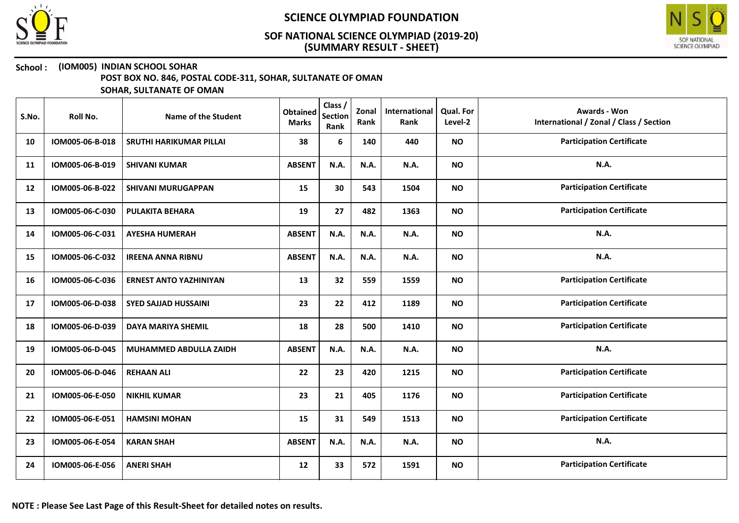



### School : (IOM005) INDIAN SCHOOL SOHAR

POST BOX NO. 846, POSTAL CODE-311, SOHAR, SULTANATE OF OMAN

| S.No. | Roll No.        | Name of the Student            | <b>Obtained</b><br><b>Marks</b> | Class /<br><b>Section</b><br>Rank | Zonal<br>Rank | International<br>Rank | Qual. For<br>Level-2 | <b>Awards - Won</b><br>International / Zonal / Class / Section |
|-------|-----------------|--------------------------------|---------------------------------|-----------------------------------|---------------|-----------------------|----------------------|----------------------------------------------------------------|
| 10    | IOM005-06-B-018 | <b>SRUTHI HARIKUMAR PILLAI</b> | 38                              | 6                                 | 140           | 440                   | <b>NO</b>            | <b>Participation Certificate</b>                               |
| 11    | IOM005-06-B-019 | <b>SHIVANI KUMAR</b>           | <b>ABSENT</b>                   | N.A.                              | N.A.          | N.A.                  | <b>NO</b>            | N.A.                                                           |
| 12    | IOM005-06-B-022 | <b>SHIVANI MURUGAPPAN</b>      | 15                              | 30                                | 543           | 1504                  | <b>NO</b>            | <b>Participation Certificate</b>                               |
| 13    | IOM005-06-C-030 | <b>PULAKITA BEHARA</b>         | 19                              | 27                                | 482           | 1363                  | <b>NO</b>            | <b>Participation Certificate</b>                               |
| 14    | IOM005-06-C-031 | <b>AYESHA HUMERAH</b>          | <b>ABSENT</b>                   | N.A.                              | <b>N.A.</b>   | N.A.                  | <b>NO</b>            | N.A.                                                           |
| 15    | IOM005-06-C-032 | <b>IREENA ANNA RIBNU</b>       | <b>ABSENT</b>                   | N.A.                              | N.A.          | N.A.                  | <b>NO</b>            | <b>N.A.</b>                                                    |
| 16    | IOM005-06-C-036 | <b>ERNEST ANTO YAZHINIYAN</b>  | 13                              | 32                                | 559           | 1559                  | <b>NO</b>            | <b>Participation Certificate</b>                               |
| 17    | IOM005-06-D-038 | <b>SYED SAJJAD HUSSAINI</b>    | 23                              | 22                                | 412           | 1189                  | <b>NO</b>            | <b>Participation Certificate</b>                               |
| 18    | IOM005-06-D-039 | <b>DAYA MARIYA SHEMIL</b>      | 18                              | 28                                | 500           | 1410                  | <b>NO</b>            | <b>Participation Certificate</b>                               |
| 19    | IOM005-06-D-045 | MUHAMMED ABDULLA ZAIDH         | <b>ABSENT</b>                   | N.A.                              | N.A.          | N.A.                  | <b>NO</b>            | N.A.                                                           |
| 20    | IOM005-06-D-046 | <b>REHAAN ALI</b>              | 22                              | 23                                | 420           | 1215                  | <b>NO</b>            | <b>Participation Certificate</b>                               |
| 21    | IOM005-06-E-050 | <b>NIKHIL KUMAR</b>            | 23                              | 21                                | 405           | 1176                  | <b>NO</b>            | <b>Participation Certificate</b>                               |
| 22    | IOM005-06-E-051 | <b>HAMSINI MOHAN</b>           | 15                              | 31                                | 549           | 1513                  | <b>NO</b>            | <b>Participation Certificate</b>                               |
| 23    | IOM005-06-E-054 | <b>KARAN SHAH</b>              | <b>ABSENT</b>                   | N.A.                              | N.A.          | N.A.                  | <b>NO</b>            | <b>N.A.</b>                                                    |
| 24    | IOM005-06-E-056 | <b>ANERI SHAH</b>              | 12                              | 33                                | 572           | 1591                  | <b>NO</b>            | <b>Participation Certificate</b>                               |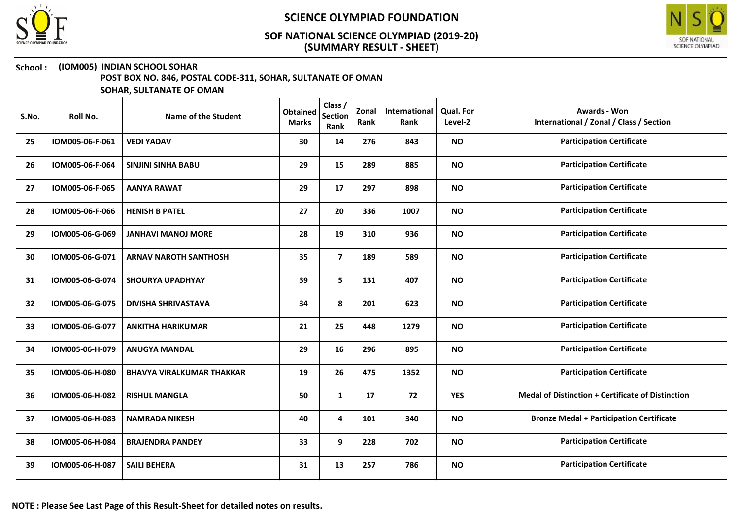



### School : (IOM005) INDIAN SCHOOL SOHAR

POST BOX NO. 846, POSTAL CODE-311, SOHAR, SULTANATE OF OMAN

| S.No. | Roll No.        | Name of the Student              | <b>Obtained</b><br><b>Marks</b> | Class /<br><b>Section</b><br>Rank | Zonal<br>Rank | International<br>Rank | <b>Qual. For</b><br>Level-2 | <b>Awards - Won</b><br>International / Zonal / Class / Section |
|-------|-----------------|----------------------------------|---------------------------------|-----------------------------------|---------------|-----------------------|-----------------------------|----------------------------------------------------------------|
| 25    | IOM005-06-F-061 | <b>VEDI YADAV</b>                | 30                              | 14                                | 276           | 843                   | <b>NO</b>                   | <b>Participation Certificate</b>                               |
| 26    | IOM005-06-F-064 | <b>SINJINI SINHA BABU</b>        | 29                              | 15                                | 289           | 885                   | <b>NO</b>                   | <b>Participation Certificate</b>                               |
| 27    | IOM005-06-F-065 | <b>AANYA RAWAT</b>               | 29                              | 17                                | 297           | 898                   | <b>NO</b>                   | <b>Participation Certificate</b>                               |
| 28    | IOM005-06-F-066 | <b>HENISH B PATEL</b>            | 27                              | 20                                | 336           | 1007                  | <b>NO</b>                   | <b>Participation Certificate</b>                               |
| 29    | IOM005-06-G-069 | <b>JANHAVI MANOJ MORE</b>        | 28                              | 19                                | 310           | 936                   | <b>NO</b>                   | <b>Participation Certificate</b>                               |
| 30    | IOM005-06-G-071 | <b>ARNAV NAROTH SANTHOSH</b>     | 35                              | $\overline{\mathbf{z}}$           | 189           | 589                   | <b>NO</b>                   | <b>Participation Certificate</b>                               |
| 31    | IOM005-06-G-074 | <b>SHOURYA UPADHYAY</b>          | 39                              | 5                                 | 131           | 407                   | <b>NO</b>                   | <b>Participation Certificate</b>                               |
| 32    | IOM005-06-G-075 | <b>DIVISHA SHRIVASTAVA</b>       | 34                              | 8                                 | 201           | 623                   | <b>NO</b>                   | <b>Participation Certificate</b>                               |
| 33    | IOM005-06-G-077 | <b>ANKITHA HARIKUMAR</b>         | 21                              | 25                                | 448           | 1279                  | <b>NO</b>                   | <b>Participation Certificate</b>                               |
| 34    | IOM005-06-H-079 | <b>ANUGYA MANDAL</b>             | 29                              | 16                                | 296           | 895                   | <b>NO</b>                   | <b>Participation Certificate</b>                               |
| 35    | IOM005-06-H-080 | <b>BHAVYA VIRALKUMAR THAKKAR</b> | 19                              | 26                                | 475           | 1352                  | <b>NO</b>                   | <b>Participation Certificate</b>                               |
| 36    | IOM005-06-H-082 | <b>RISHUL MANGLA</b>             | 50                              | 1                                 | 17            | 72                    | <b>YES</b>                  | <b>Medal of Distinction + Certificate of Distinction</b>       |
| 37    | IOM005-06-H-083 | <b>NAMRADA NIKESH</b>            | 40                              | 4                                 | 101           | 340                   | <b>NO</b>                   | <b>Bronze Medal + Participation Certificate</b>                |
| 38    | IOM005-06-H-084 | <b>BRAJENDRA PANDEY</b>          | 33                              | 9                                 | 228           | 702                   | <b>NO</b>                   | <b>Participation Certificate</b>                               |
| 39    | IOM005-06-H-087 | <b>SAILI BEHERA</b>              | 31                              | 13                                | 257           | 786                   | <b>NO</b>                   | <b>Participation Certificate</b>                               |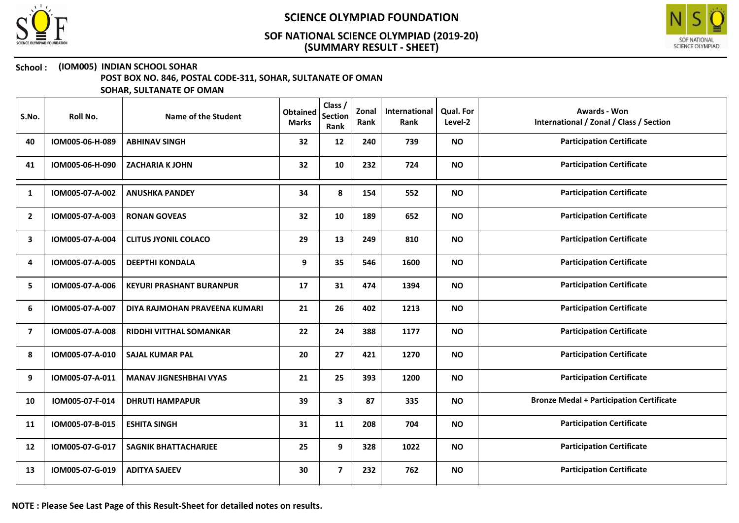



### School : (IOM005) INDIAN SCHOOL SOHAR

POST BOX NO. 846, POSTAL CODE-311, SOHAR, SULTANATE OF OMAN

SOHAR, SULTANATE OF OMAN

| S.No.          | Roll No.        | Name of the Student             | <b>Obtained</b><br><b>Marks</b> | Class /<br><b>Section</b><br>Rank | Zonal<br>Rank | International<br>Rank | <b>Qual. For</b><br>Level-2 | <b>Awards - Won</b><br>International / Zonal / Class / Section |
|----------------|-----------------|---------------------------------|---------------------------------|-----------------------------------|---------------|-----------------------|-----------------------------|----------------------------------------------------------------|
| 40             | IOM005-06-H-089 | <b>ABHINAV SINGH</b>            | 32                              | 12                                | 240           | 739                   | <b>NO</b>                   | <b>Participation Certificate</b>                               |
| 41             | IOM005-06-H-090 | <b>ZACHARIA K JOHN</b>          | 32                              | 10                                | 232           | 724                   | <b>NO</b>                   | <b>Participation Certificate</b>                               |
| 1              | IOM005-07-A-002 | <b>ANUSHKA PANDEY</b>           | 34                              | 8                                 | 154           | 552                   | <b>NO</b>                   | <b>Participation Certificate</b>                               |
| $\mathbf{2}$   | IOM005-07-A-003 | <b>RONAN GOVEAS</b>             | 32                              | 10                                | 189           | 652                   | <b>NO</b>                   | <b>Participation Certificate</b>                               |
| 3              | IOM005-07-A-004 | <b>CLITUS JYONIL COLACO</b>     | 29                              | 13                                | 249           | 810                   | <b>NO</b>                   | <b>Participation Certificate</b>                               |
| 4              | IOM005-07-A-005 | <b>DEEPTHI KONDALA</b>          | 9                               | 35                                | 546           | 1600                  | <b>NO</b>                   | <b>Participation Certificate</b>                               |
| 5.             | IOM005-07-A-006 | <b>KEYURI PRASHANT BURANPUR</b> | 17                              | 31                                | 474           | 1394                  | <b>NO</b>                   | <b>Participation Certificate</b>                               |
| 6              | IOM005-07-A-007 | DIYA RAJMOHAN PRAVEENA KUMARI   | 21                              | 26                                | 402           | 1213                  | <b>NO</b>                   | <b>Participation Certificate</b>                               |
| $\overline{ }$ | IOM005-07-A-008 | <b>RIDDHI VITTHAL SOMANKAR</b>  | 22                              | 24                                | 388           | 1177                  | <b>NO</b>                   | <b>Participation Certificate</b>                               |
| 8              | IOM005-07-A-010 | <b>SAJAL KUMAR PAL</b>          | 20                              | 27                                | 421           | 1270                  | <b>NO</b>                   | <b>Participation Certificate</b>                               |
| 9              | IOM005-07-A-011 | <b>MANAV JIGNESHBHAI VYAS</b>   | 21                              | 25                                | 393           | 1200                  | <b>NO</b>                   | <b>Participation Certificate</b>                               |
| 10             | IOM005-07-F-014 | <b>DHRUTI HAMPAPUR</b>          | 39                              | 3                                 | 87            | 335                   | <b>NO</b>                   | <b>Bronze Medal + Participation Certificate</b>                |
| 11             | IOM005-07-B-015 | <b>ESHITA SINGH</b>             | 31                              | 11                                | 208           | 704                   | <b>NO</b>                   | <b>Participation Certificate</b>                               |
| 12             | IOM005-07-G-017 | <b>SAGNIK BHATTACHARJEE</b>     | 25                              | 9                                 | 328           | 1022                  | <b>NO</b>                   | <b>Participation Certificate</b>                               |
| 13             | IOM005-07-G-019 | <b>ADITYA SAJEEV</b>            | 30                              | $\overline{7}$                    | 232           | 762                   | <b>NO</b>                   | <b>Participation Certificate</b>                               |

NOTE : Please See Last Page of this Result-Sheet for detailed notes on results.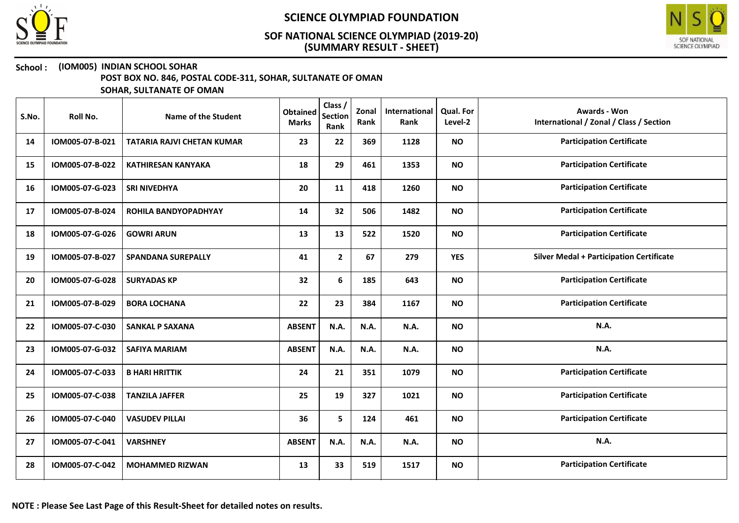



#### School : (IOM005) INDIAN SCHOOL SOHAR

POST BOX NO. 846, POSTAL CODE-311, SOHAR, SULTANATE OF OMAN

| S.No. | Roll No.        | Name of the Student               | <b>Obtained</b><br><b>Marks</b> | Class /<br><b>Section</b><br>Rank | Zonal<br>Rank | International<br>Rank | Qual. For<br>Level-2 | <b>Awards - Won</b><br>International / Zonal / Class / Section |
|-------|-----------------|-----------------------------------|---------------------------------|-----------------------------------|---------------|-----------------------|----------------------|----------------------------------------------------------------|
| 14    | IOM005-07-B-021 | <b>TATARIA RAJVI CHETAN KUMAR</b> | 23                              | 22                                | 369           | 1128                  | <b>NO</b>            | <b>Participation Certificate</b>                               |
| 15    | IOM005-07-B-022 | <b>KATHIRESAN KANYAKA</b>         | 18                              | 29                                | 461           | 1353                  | <b>NO</b>            | <b>Participation Certificate</b>                               |
| 16    | IOM005-07-G-023 | <b>SRI NIVEDHYA</b>               | 20                              | 11                                | 418           | 1260                  | <b>NO</b>            | <b>Participation Certificate</b>                               |
| 17    | IOM005-07-B-024 | ROHILA BANDYOPADHYAY              | 14                              | 32                                | 506           | 1482                  | <b>NO</b>            | <b>Participation Certificate</b>                               |
| 18    | IOM005-07-G-026 | <b>GOWRI ARUN</b>                 | 13                              | 13                                | 522           | 1520                  | <b>NO</b>            | <b>Participation Certificate</b>                               |
| 19    | IOM005-07-B-027 | <b>SPANDANA SUREPALLY</b>         | 41                              | $\mathbf{2}$                      | 67            | 279                   | <b>YES</b>           | <b>Silver Medal + Participation Certificate</b>                |
| 20    | IOM005-07-G-028 | <b>SURYADAS KP</b>                | 32                              | 6                                 | 185           | 643                   | <b>NO</b>            | <b>Participation Certificate</b>                               |
| 21    | IOM005-07-B-029 | <b>BORA LOCHANA</b>               | 22                              | 23                                | 384           | 1167                  | <b>NO</b>            | <b>Participation Certificate</b>                               |
| 22    | IOM005-07-C-030 | <b>SANKAL P SAXANA</b>            | <b>ABSENT</b>                   | N.A.                              | N.A.          | N.A.                  | <b>NO</b>            | <b>N.A.</b>                                                    |
| 23    | IOM005-07-G-032 | <b>SAFIYA MARIAM</b>              | <b>ABSENT</b>                   | N.A.                              | N.A.          | N.A.                  | <b>NO</b>            | N.A.                                                           |
| 24    | IOM005-07-C-033 | <b>B HARI HRITTIK</b>             | 24                              | 21                                | 351           | 1079                  | <b>NO</b>            | <b>Participation Certificate</b>                               |
| 25    | IOM005-07-C-038 | <b>TANZILA JAFFER</b>             | 25                              | 19                                | 327           | 1021                  | <b>NO</b>            | <b>Participation Certificate</b>                               |
| 26    | IOM005-07-C-040 | <b>VASUDEV PILLAI</b>             | 36                              | 5                                 | 124           | 461                   | <b>NO</b>            | <b>Participation Certificate</b>                               |
| 27    | IOM005-07-C-041 | <b>VARSHNEY</b>                   | <b>ABSENT</b>                   | N.A.                              | N.A.          | N.A.                  | <b>NO</b>            | <b>N.A.</b>                                                    |
| 28    | IOM005-07-C-042 | <b>MOHAMMED RIZWAN</b>            | 13                              | 33                                | 519           | 1517                  | <b>NO</b>            | <b>Participation Certificate</b>                               |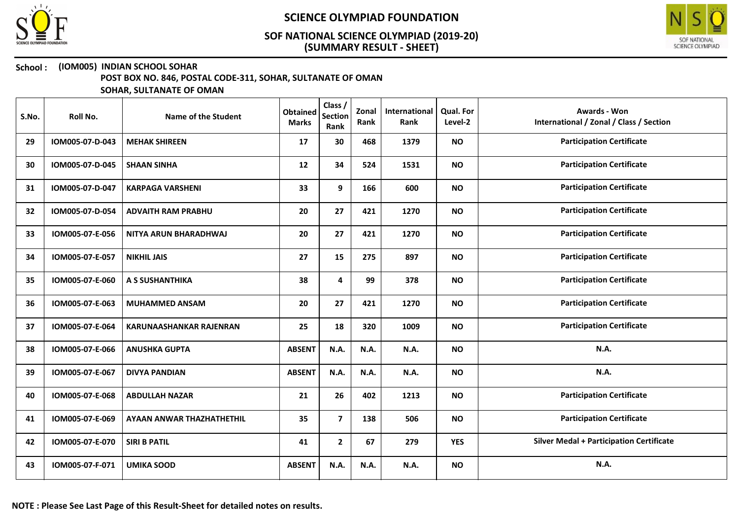



### School : (IOM005) INDIAN SCHOOL SOHAR

POST BOX NO. 846, POSTAL CODE-311, SOHAR, SULTANATE OF OMAN

| S.No. | Roll No.        | Name of the Student              | <b>Obtained</b><br><b>Marks</b> | Class /<br><b>Section</b><br>Rank | Zonal<br>Rank | International<br>Rank | <b>Qual. For</b><br>Level-2 | Awards - Won<br>International / Zonal / Class / Section |
|-------|-----------------|----------------------------------|---------------------------------|-----------------------------------|---------------|-----------------------|-----------------------------|---------------------------------------------------------|
| 29    | IOM005-07-D-043 | <b>MEHAK SHIREEN</b>             | 17                              | 30                                | 468           | 1379                  | <b>NO</b>                   | <b>Participation Certificate</b>                        |
| 30    | IOM005-07-D-045 | <b>SHAAN SINHA</b>               | 12                              | 34                                | 524           | 1531                  | <b>NO</b>                   | <b>Participation Certificate</b>                        |
| 31    | IOM005-07-D-047 | <b>KARPAGA VARSHENI</b>          | 33                              | 9                                 | 166           | 600                   | <b>NO</b>                   | <b>Participation Certificate</b>                        |
| 32    | IOM005-07-D-054 | <b>ADVAITH RAM PRABHU</b>        | 20                              | 27                                | 421           | 1270                  | <b>NO</b>                   | <b>Participation Certificate</b>                        |
| 33    | IOM005-07-E-056 | NITYA ARUN BHARADHWAJ            | 20                              | 27                                | 421           | 1270                  | <b>NO</b>                   | <b>Participation Certificate</b>                        |
| 34    | IOM005-07-E-057 | <b>NIKHIL JAIS</b>               | 27                              | 15                                | 275           | 897                   | <b>NO</b>                   | <b>Participation Certificate</b>                        |
| 35    | IOM005-07-E-060 | A S SUSHANTHIKA                  | 38                              | 4                                 | 99            | 378                   | <b>NO</b>                   | <b>Participation Certificate</b>                        |
| 36    | IOM005-07-E-063 | <b>MUHAMMED ANSAM</b>            | 20                              | 27                                | 421           | 1270                  | <b>NO</b>                   | <b>Participation Certificate</b>                        |
| 37    | IOM005-07-E-064 | <b>KARUNAASHANKAR RAJENRAN</b>   | 25                              | 18                                | 320           | 1009                  | <b>NO</b>                   | <b>Participation Certificate</b>                        |
| 38    | IOM005-07-E-066 | <b>ANUSHKA GUPTA</b>             | <b>ABSENT</b>                   | N.A.                              | N.A.          | N.A.                  | <b>NO</b>                   | N.A.                                                    |
| 39    | IOM005-07-E-067 | <b>DIVYA PANDIAN</b>             | <b>ABSENT</b>                   | N.A.                              | <b>N.A.</b>   | N.A.                  | <b>NO</b>                   | <b>N.A.</b>                                             |
| 40    | IOM005-07-E-068 | <b>ABDULLAH NAZAR</b>            | 21                              | 26                                | 402           | 1213                  | <b>NO</b>                   | <b>Participation Certificate</b>                        |
| 41    | IOM005-07-E-069 | <b>AYAAN ANWAR THAZHATHETHIL</b> | 35                              | $\overline{7}$                    | 138           | 506                   | <b>NO</b>                   | <b>Participation Certificate</b>                        |
| 42    | IOM005-07-E-070 | <b>SIRI B PATIL</b>              | 41                              | $\mathbf{2}$                      | 67            | 279                   | <b>YES</b>                  | <b>Silver Medal + Participation Certificate</b>         |
| 43    | IOM005-07-F-071 | <b>UMIKA SOOD</b>                | <b>ABSENT</b>                   | N.A.                              | N.A.          | N.A.                  | <b>NO</b>                   | N.A.                                                    |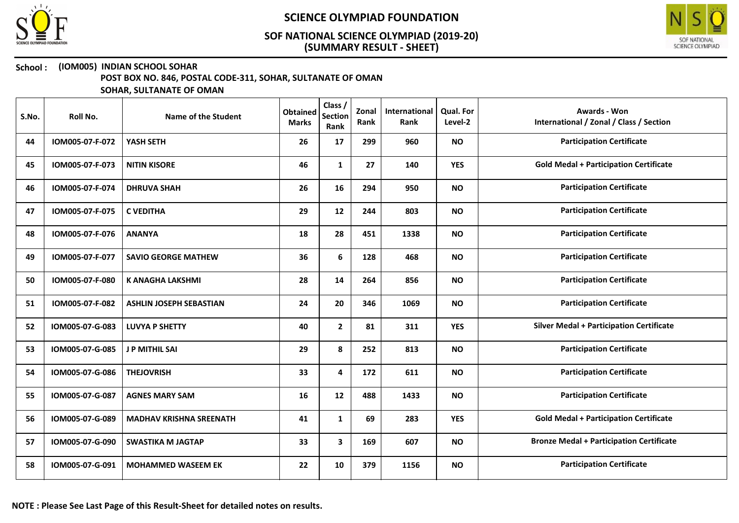



#### School : (IOM005) INDIAN SCHOOL SOHAR

POST BOX NO. 846, POSTAL CODE-311, SOHAR, SULTANATE OF OMAN

| S.No. | Roll No.        | Name of the Student            | <b>Obtained</b><br><b>Marks</b> | Class /<br><b>Section</b><br>Rank | Zonal<br>Rank | International<br>Rank | Qual. For<br>Level-2 | Awards - Won<br>International / Zonal / Class / Section |
|-------|-----------------|--------------------------------|---------------------------------|-----------------------------------|---------------|-----------------------|----------------------|---------------------------------------------------------|
| 44    | IOM005-07-F-072 | YASH SETH                      | 26                              | 17                                | 299           | 960                   | <b>NO</b>            | <b>Participation Certificate</b>                        |
| 45    | IOM005-07-F-073 | <b>NITIN KISORE</b>            | 46                              | $\mathbf{1}$                      | 27            | 140                   | <b>YES</b>           | <b>Gold Medal + Participation Certificate</b>           |
| 46    | IOM005-07-F-074 | <b>DHRUVA SHAH</b>             | 26                              | 16                                | 294           | 950                   | <b>NO</b>            | <b>Participation Certificate</b>                        |
| 47    | IOM005-07-F-075 | <b>C VEDITHA</b>               | 29                              | 12                                | 244           | 803                   | <b>NO</b>            | <b>Participation Certificate</b>                        |
| 48    | IOM005-07-F-076 | <b>ANANYA</b>                  | 18                              | 28                                | 451           | 1338                  | <b>NO</b>            | <b>Participation Certificate</b>                        |
| 49    | IOM005-07-F-077 | <b>SAVIO GEORGE MATHEW</b>     | 36                              | 6                                 | 128           | 468                   | <b>NO</b>            | <b>Participation Certificate</b>                        |
| 50    | IOM005-07-F-080 | <b>K ANAGHA LAKSHMI</b>        | 28                              | 14                                | 264           | 856                   | <b>NO</b>            | <b>Participation Certificate</b>                        |
| 51    | IOM005-07-F-082 | <b>ASHLIN JOSEPH SEBASTIAN</b> | 24                              | 20                                | 346           | 1069                  | <b>NO</b>            | <b>Participation Certificate</b>                        |
| 52    | IOM005-07-G-083 | <b>LUVYA P SHETTY</b>          | 40                              | $\mathbf{2}$                      | 81            | 311                   | <b>YES</b>           | <b>Silver Medal + Participation Certificate</b>         |
| 53    | IOM005-07-G-085 | <b>J P MITHIL SAI</b>          | 29                              | 8                                 | 252           | 813                   | <b>NO</b>            | <b>Participation Certificate</b>                        |
| 54    | IOM005-07-G-086 | <b>THEJOVRISH</b>              | 33                              | 4                                 | 172           | 611                   | <b>NO</b>            | <b>Participation Certificate</b>                        |
| 55    | IOM005-07-G-087 | <b>AGNES MARY SAM</b>          | 16                              | 12                                | 488           | 1433                  | <b>NO</b>            | <b>Participation Certificate</b>                        |
| 56    | IOM005-07-G-089 | <b>MADHAV KRISHNA SREENATH</b> | 41                              | $\mathbf{1}$                      | 69            | 283                   | <b>YES</b>           | <b>Gold Medal + Participation Certificate</b>           |
| 57    | IOM005-07-G-090 | <b>SWASTIKA M JAGTAP</b>       | 33                              | 3                                 | 169           | 607                   | <b>NO</b>            | <b>Bronze Medal + Participation Certificate</b>         |
| 58    | IOM005-07-G-091 | <b>MOHAMMED WASEEM EK</b>      | 22                              | 10                                | 379           | 1156                  | <b>NO</b>            | <b>Participation Certificate</b>                        |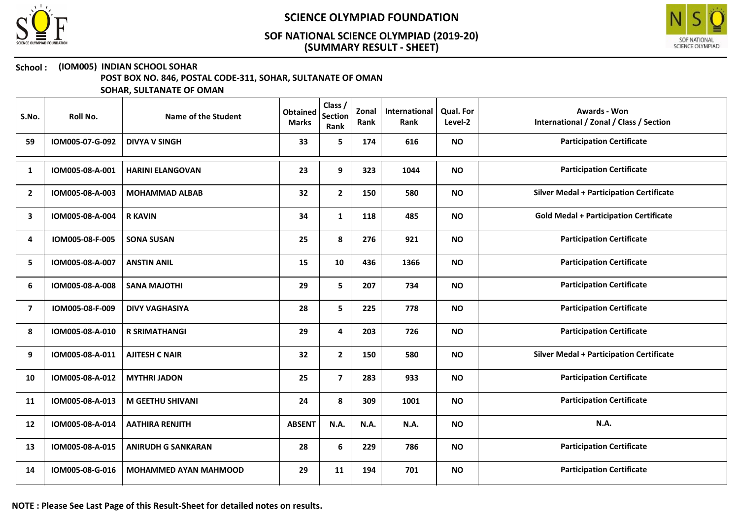



### School : (IOM005) INDIAN SCHOOL SOHAR

POST BOX NO. 846, POSTAL CODE-311, SOHAR, SULTANATE OF OMAN

| S.No.          | Roll No.        | Name of the Student          | <b>Obtained</b><br><b>Marks</b> | Class /<br>Section<br>Rank | Zonal<br>Rank | International<br>Rank | <b>Qual. For</b><br>Level-2 | <b>Awards - Won</b><br>International / Zonal / Class / Section |
|----------------|-----------------|------------------------------|---------------------------------|----------------------------|---------------|-----------------------|-----------------------------|----------------------------------------------------------------|
| 59             | IOM005-07-G-092 | <b>DIVYA V SINGH</b>         | 33                              | 5                          | 174           | 616                   | <b>NO</b>                   | <b>Participation Certificate</b>                               |
| 1              | IOM005-08-A-001 | <b>HARINI ELANGOVAN</b>      | 23                              | 9                          | 323           | 1044                  | <b>NO</b>                   | <b>Participation Certificate</b>                               |
| $\overline{2}$ | IOM005-08-A-003 | <b>MOHAMMAD ALBAB</b>        | 32                              | $\overline{2}$             | 150           | 580                   | <b>NO</b>                   | <b>Silver Medal + Participation Certificate</b>                |
| 3              | IOM005-08-A-004 | <b>R KAVIN</b>               | 34                              | $\mathbf{1}$               | 118           | 485                   | <b>NO</b>                   | <b>Gold Medal + Participation Certificate</b>                  |
| 4              | IOM005-08-F-005 | <b>SONA SUSAN</b>            | 25                              | 8                          | 276           | 921                   | <b>NO</b>                   | <b>Participation Certificate</b>                               |
| 5              | IOM005-08-A-007 | <b>ANSTIN ANIL</b>           | 15                              | 10                         | 436           | 1366                  | <b>NO</b>                   | <b>Participation Certificate</b>                               |
| 6              | IOM005-08-A-008 | <b>SANA MAJOTHI</b>          | 29                              | 5                          | 207           | 734                   | <b>NO</b>                   | <b>Participation Certificate</b>                               |
| $\overline{ }$ | IOM005-08-F-009 | <b>DIVY VAGHASIYA</b>        | 28                              | 5                          | 225           | 778                   | <b>NO</b>                   | <b>Participation Certificate</b>                               |
| 8              | IOM005-08-A-010 | <b>R SRIMATHANGI</b>         | 29                              | $\overline{\mathbf{4}}$    | 203           | 726                   | <b>NO</b>                   | <b>Participation Certificate</b>                               |
| 9              | IOM005-08-A-011 | <b>AJITESH C NAIR</b>        | 32                              | $\mathbf{2}$               | 150           | 580                   | <b>NO</b>                   | <b>Silver Medal + Participation Certificate</b>                |
| 10             | IOM005-08-A-012 | <b>MYTHRI JADON</b>          | 25                              | $\overline{7}$             | 283           | 933                   | <b>NO</b>                   | <b>Participation Certificate</b>                               |
| 11             | IOM005-08-A-013 | <b>M GEETHU SHIVANI</b>      | 24                              | 8                          | 309           | 1001                  | <b>NO</b>                   | <b>Participation Certificate</b>                               |
| 12             | IOM005-08-A-014 | <b>AATHIRA RENJITH</b>       | <b>ABSENT</b>                   | N.A.                       | N.A.          | N.A.                  | <b>NO</b>                   | N.A.                                                           |
| 13             | IOM005-08-A-015 | <b>ANIRUDH G SANKARAN</b>    | 28                              | 6                          | 229           | 786                   | <b>NO</b>                   | <b>Participation Certificate</b>                               |
| 14             | IOM005-08-G-016 | <b>MOHAMMED AYAN MAHMOOD</b> | 29                              | 11                         | 194           | 701                   | <b>NO</b>                   | <b>Participation Certificate</b>                               |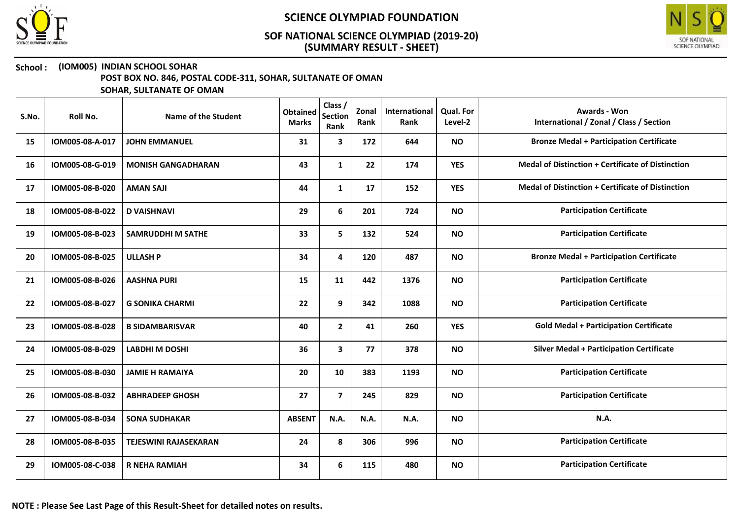



#### School : (IOM005) INDIAN SCHOOL SOHAR

POST BOX NO. 846, POSTAL CODE-311, SOHAR, SULTANATE OF OMAN

| S.No. | Roll No.        | Name of the Student          | <b>Obtained</b><br><b>Marks</b> | Class /<br><b>Section</b><br>Rank | Zonal<br>Rank | International<br>Rank | <b>Qual. For</b><br>Level-2 | Awards - Won<br>International / Zonal / Class / Section  |
|-------|-----------------|------------------------------|---------------------------------|-----------------------------------|---------------|-----------------------|-----------------------------|----------------------------------------------------------|
| 15    | IOM005-08-A-017 | <b>JOHN EMMANUEL</b>         | 31                              | 3                                 | 172           | 644                   | <b>NO</b>                   | <b>Bronze Medal + Participation Certificate</b>          |
| 16    | IOM005-08-G-019 | <b>MONISH GANGADHARAN</b>    | 43                              | $\mathbf{1}$                      | 22            | 174                   | <b>YES</b>                  | <b>Medal of Distinction + Certificate of Distinction</b> |
| 17    | IOM005-08-B-020 | <b>AMAN SAJI</b>             | 44                              | $\mathbf{1}$                      | 17            | 152                   | <b>YES</b>                  | <b>Medal of Distinction + Certificate of Distinction</b> |
| 18    | IOM005-08-B-022 | <b>D VAISHNAVI</b>           | 29                              | 6                                 | 201           | 724                   | <b>NO</b>                   | <b>Participation Certificate</b>                         |
| 19    | IOM005-08-B-023 | <b>SAMRUDDHI M SATHE</b>     | 33                              | 5                                 | 132           | 524                   | <b>NO</b>                   | <b>Participation Certificate</b>                         |
| 20    | IOM005-08-B-025 | <b>ULLASH P</b>              | 34                              | 4                                 | 120           | 487                   | <b>NO</b>                   | <b>Bronze Medal + Participation Certificate</b>          |
| 21    | IOM005-08-B-026 | <b>AASHNA PURI</b>           | 15                              | 11                                | 442           | 1376                  | <b>NO</b>                   | <b>Participation Certificate</b>                         |
| 22    | IOM005-08-B-027 | <b>G SONIKA CHARMI</b>       | 22                              | 9                                 | 342           | 1088                  | <b>NO</b>                   | <b>Participation Certificate</b>                         |
| 23    | IOM005-08-B-028 | <b>B SIDAMBARISVAR</b>       | 40                              | $\mathbf{2}$                      | 41            | 260                   | <b>YES</b>                  | <b>Gold Medal + Participation Certificate</b>            |
| 24    | IOM005-08-B-029 | <b>LABDHIM DOSHI</b>         | 36                              | $\mathbf{3}$                      | 77            | 378                   | <b>NO</b>                   | <b>Silver Medal + Participation Certificate</b>          |
| 25    | IOM005-08-B-030 | <b>JAMIE H RAMAIYA</b>       | 20                              | 10                                | 383           | 1193                  | <b>NO</b>                   | <b>Participation Certificate</b>                         |
| 26    | IOM005-08-B-032 | <b>ABHRADEEP GHOSH</b>       | 27                              | $\overline{7}$                    | 245           | 829                   | <b>NO</b>                   | <b>Participation Certificate</b>                         |
| 27    | IOM005-08-B-034 | <b>SONA SUDHAKAR</b>         | <b>ABSENT</b>                   | N.A.                              | N.A.          | N.A.                  | <b>NO</b>                   | N.A.                                                     |
| 28    | IOM005-08-B-035 | <b>TEJESWINI RAJASEKARAN</b> | 24                              | 8                                 | 306           | 996                   | <b>NO</b>                   | <b>Participation Certificate</b>                         |
| 29    | IOM005-08-C-038 | <b>R NEHA RAMIAH</b>         | 34                              | 6                                 | 115           | 480                   | <b>NO</b>                   | <b>Participation Certificate</b>                         |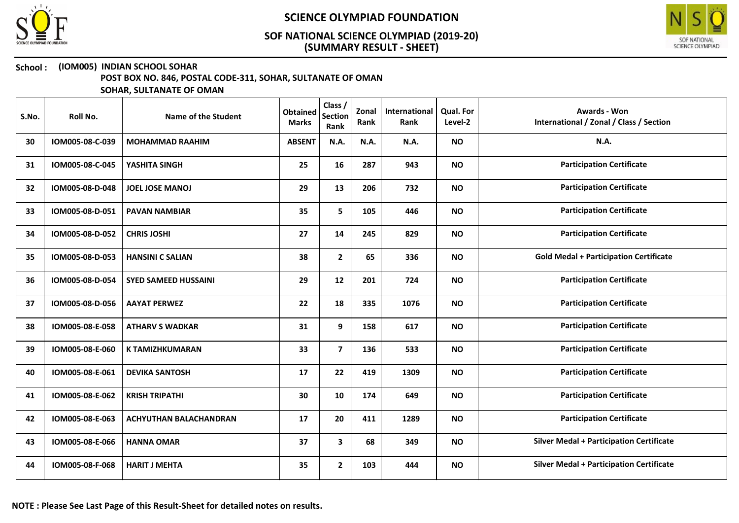



### School : (IOM005) INDIAN SCHOOL SOHAR

POST BOX NO. 846, POSTAL CODE-311, SOHAR, SULTANATE OF OMAN

| S.No. | Roll No.        | Name of the Student         | <b>Obtained</b><br><b>Marks</b> | Class /<br><b>Section</b><br>Rank | Zonal<br>Rank | International<br>Rank | <b>Qual. For</b><br>Level-2 | <b>Awards - Won</b><br>International / Zonal / Class / Section |
|-------|-----------------|-----------------------------|---------------------------------|-----------------------------------|---------------|-----------------------|-----------------------------|----------------------------------------------------------------|
| 30    | IOM005-08-C-039 | <b>MOHAMMAD RAAHIM</b>      | <b>ABSENT</b>                   | N.A.                              | N.A.          | N.A.                  | <b>NO</b>                   | <b>N.A.</b>                                                    |
| 31    | IOM005-08-C-045 | YASHITA SINGH               | 25                              | 16                                | 287           | 943                   | <b>NO</b>                   | <b>Participation Certificate</b>                               |
| 32    | IOM005-08-D-048 | <b>JOEL JOSE MANOJ</b>      | 29                              | 13                                | 206           | 732                   | <b>NO</b>                   | <b>Participation Certificate</b>                               |
| 33    | IOM005-08-D-051 | <b>PAVAN NAMBIAR</b>        | 35                              | 5                                 | 105           | 446                   | <b>NO</b>                   | <b>Participation Certificate</b>                               |
| 34    | IOM005-08-D-052 | <b>CHRIS JOSHI</b>          | 27                              | 14                                | 245           | 829                   | <b>NO</b>                   | <b>Participation Certificate</b>                               |
| 35    | IOM005-08-D-053 | <b>HANSINI C SALIAN</b>     | 38                              | $\mathbf{2}$                      | 65            | 336                   | <b>NO</b>                   | <b>Gold Medal + Participation Certificate</b>                  |
| 36    | IOM005-08-D-054 | <b>SYED SAMEED HUSSAINI</b> | 29                              | 12                                | 201           | 724                   | <b>NO</b>                   | <b>Participation Certificate</b>                               |
| 37    | IOM005-08-D-056 | <b>AAYAT PERWEZ</b>         | 22                              | 18                                | 335           | 1076                  | <b>NO</b>                   | <b>Participation Certificate</b>                               |
| 38    | IOM005-08-E-058 | <b>ATHARV S WADKAR</b>      | 31                              | 9                                 | 158           | 617                   | <b>NO</b>                   | <b>Participation Certificate</b>                               |
| 39    | IOM005-08-E-060 | <b>K TAMIZHKUMARAN</b>      | 33                              | $\overline{7}$                    | 136           | 533                   | <b>NO</b>                   | <b>Participation Certificate</b>                               |
| 40    | IOM005-08-E-061 | <b>DEVIKA SANTOSH</b>       | 17                              | 22                                | 419           | 1309                  | <b>NO</b>                   | <b>Participation Certificate</b>                               |
| 41    | IOM005-08-E-062 | <b>KRISH TRIPATHI</b>       | 30                              | 10                                | 174           | 649                   | <b>NO</b>                   | <b>Participation Certificate</b>                               |
| 42    | IOM005-08-E-063 | ACHYUTHAN BALACHANDRAN      | 17                              | 20                                | 411           | 1289                  | <b>NO</b>                   | <b>Participation Certificate</b>                               |
| 43    | IOM005-08-E-066 | <b>HANNA OMAR</b>           | 37                              | 3                                 | 68            | 349                   | <b>NO</b>                   | <b>Silver Medal + Participation Certificate</b>                |
| 44    | IOM005-08-F-068 | <b>HARIT J MEHTA</b>        | 35                              | $\overline{2}$                    | 103           | 444                   | <b>NO</b>                   | <b>Silver Medal + Participation Certificate</b>                |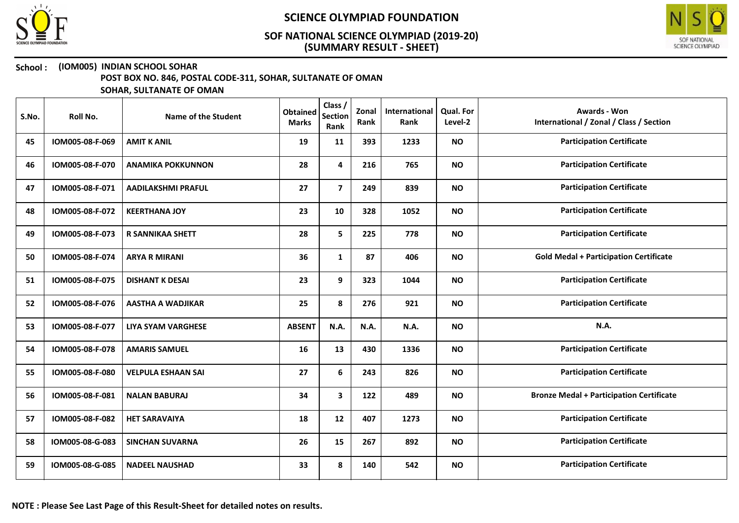



#### School : (IOM005) INDIAN SCHOOL SOHAR

POST BOX NO. 846, POSTAL CODE-311, SOHAR, SULTANATE OF OMAN

| S.No. | Roll No.        | Name of the Student       | <b>Obtained</b><br><b>Marks</b> | Class /<br><b>Section</b><br>Rank | Zonal<br>Rank | International<br>Rank | <b>Qual. For</b><br>Level-2 | <b>Awards - Won</b><br>International / Zonal / Class / Section |
|-------|-----------------|---------------------------|---------------------------------|-----------------------------------|---------------|-----------------------|-----------------------------|----------------------------------------------------------------|
| 45    | IOM005-08-F-069 | <b>AMIT K ANIL</b>        | 19                              | 11                                | 393           | 1233                  | <b>NO</b>                   | <b>Participation Certificate</b>                               |
| 46    | IOM005-08-F-070 | <b>ANAMIKA POKKUNNON</b>  | 28                              | $\overline{4}$                    | 216           | 765                   | <b>NO</b>                   | <b>Participation Certificate</b>                               |
| 47    | IOM005-08-F-071 | <b>AADILAKSHMI PRAFUL</b> | 27                              | $\overline{7}$                    | 249           | 839                   | <b>NO</b>                   | <b>Participation Certificate</b>                               |
| 48    | IOM005-08-F-072 | <b>KEERTHANA JOY</b>      | 23                              | 10                                | 328           | 1052                  | <b>NO</b>                   | <b>Participation Certificate</b>                               |
| 49    | IOM005-08-F-073 | <b>R SANNIKAA SHETT</b>   | 28                              | 5                                 | 225           | 778                   | <b>NO</b>                   | <b>Participation Certificate</b>                               |
| 50    | IOM005-08-F-074 | <b>ARYA R MIRANI</b>      | 36                              | $\mathbf{1}$                      | 87            | 406                   | <b>NO</b>                   | <b>Gold Medal + Participation Certificate</b>                  |
| 51    | IOM005-08-F-075 | <b>DISHANT K DESAI</b>    | 23                              | 9                                 | 323           | 1044                  | <b>NO</b>                   | <b>Participation Certificate</b>                               |
| 52    | IOM005-08-F-076 | <b>AASTHA A WADJIKAR</b>  | 25                              | 8                                 | 276           | 921                   | <b>NO</b>                   | <b>Participation Certificate</b>                               |
| 53    | IOM005-08-F-077 | <b>LIYA SYAM VARGHESE</b> | <b>ABSENT</b>                   | N.A.                              | <b>N.A.</b>   | N.A.                  | <b>NO</b>                   | N.A.                                                           |
| 54    | IOM005-08-F-078 | <b>AMARIS SAMUEL</b>      | 16                              | 13                                | 430           | 1336                  | <b>NO</b>                   | <b>Participation Certificate</b>                               |
| 55    | IOM005-08-F-080 | <b>VELPULA ESHAAN SAI</b> | 27                              | 6                                 | 243           | 826                   | <b>NO</b>                   | <b>Participation Certificate</b>                               |
| 56    | IOM005-08-F-081 | <b>NALAN BABURAJ</b>      | 34                              | $\mathbf{3}$                      | 122           | 489                   | <b>NO</b>                   | <b>Bronze Medal + Participation Certificate</b>                |
| 57    | IOM005-08-F-082 | <b>HET SARAVAIYA</b>      | 18                              | 12                                | 407           | 1273                  | <b>NO</b>                   | <b>Participation Certificate</b>                               |
| 58    | IOM005-08-G-083 | <b>SINCHAN SUVARNA</b>    | 26                              | 15                                | 267           | 892                   | <b>NO</b>                   | <b>Participation Certificate</b>                               |
| 59    | IOM005-08-G-085 | <b>NADEEL NAUSHAD</b>     | 33                              | 8                                 | 140           | 542                   | <b>NO</b>                   | <b>Participation Certificate</b>                               |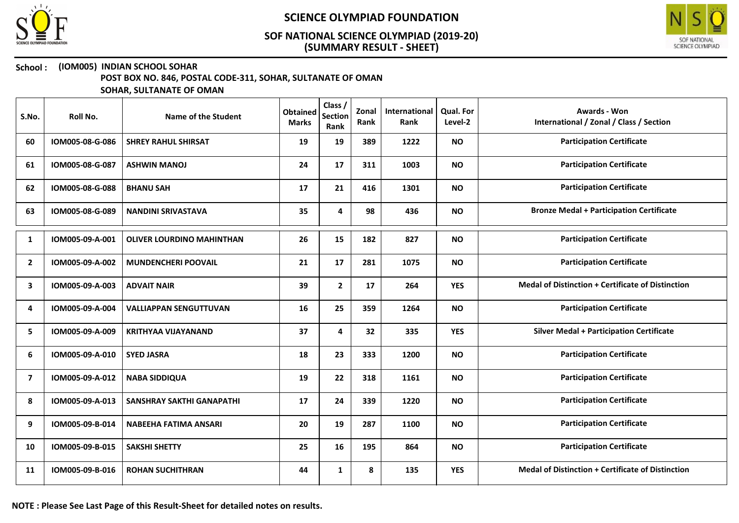



## School : (IOM005) INDIAN SCHOOL SOHAR

POST BOX NO. 846, POSTAL CODE-311, SOHAR, SULTANATE OF OMAN

| S.No.          | Roll No.        | Name of the Student              | <b>Obtained</b><br><b>Marks</b> | Class /<br><b>Section</b><br>Rank | Zonal<br>Rank | International<br>Rank | <b>Qual. For</b><br>Level-2 | Awards - Won<br>International / Zonal / Class / Section  |
|----------------|-----------------|----------------------------------|---------------------------------|-----------------------------------|---------------|-----------------------|-----------------------------|----------------------------------------------------------|
| 60             | IOM005-08-G-086 | <b>SHREY RAHUL SHIRSAT</b>       | 19                              | 19                                | 389           | 1222                  | <b>NO</b>                   | <b>Participation Certificate</b>                         |
| 61             | IOM005-08-G-087 | <b>ASHWIN MANOJ</b>              | 24                              | 17                                | 311           | 1003                  | <b>NO</b>                   | <b>Participation Certificate</b>                         |
| 62             | IOM005-08-G-088 | <b>BHANU SAH</b>                 | 17                              | 21                                | 416           | 1301                  | <b>NO</b>                   | <b>Participation Certificate</b>                         |
| 63             | IOM005-08-G-089 | <b>NANDINI SRIVASTAVA</b>        | 35                              | 4                                 | 98            | 436                   | <b>NO</b>                   | <b>Bronze Medal + Participation Certificate</b>          |
| 1              | IOM005-09-A-001 | <b>OLIVER LOURDINO MAHINTHAN</b> | 26                              | 15                                | 182           | 827                   | <b>NO</b>                   | <b>Participation Certificate</b>                         |
| $\overline{2}$ | IOM005-09-A-002 | <b>MUNDENCHERI POOVAIL</b>       | 21                              | 17                                | 281           | 1075                  | <b>NO</b>                   | <b>Participation Certificate</b>                         |
| 3              | IOM005-09-A-003 | <b>ADVAIT NAIR</b>               | 39                              | $\mathbf{2}$                      | 17            | 264                   | <b>YES</b>                  | Medal of Distinction + Certificate of Distinction        |
| 4              | IOM005-09-A-004 | <b>VALLIAPPAN SENGUTTUVAN</b>    | 16                              | 25                                | 359           | 1264                  | <b>NO</b>                   | <b>Participation Certificate</b>                         |
| 5              | IOM005-09-A-009 | <b>KRITHYAA VIJAYANAND</b>       | 37                              | 4                                 | 32            | 335                   | <b>YES</b>                  | <b>Silver Medal + Participation Certificate</b>          |
| 6              | IOM005-09-A-010 | <b>SYED JASRA</b>                | 18                              | 23                                | 333           | 1200                  | <b>NO</b>                   | <b>Participation Certificate</b>                         |
| $\overline{ }$ | IOM005-09-A-012 | <b>NABA SIDDIQUA</b>             | 19                              | 22                                | 318           | 1161                  | <b>NO</b>                   | <b>Participation Certificate</b>                         |
| 8              | IOM005-09-A-013 | <b>SANSHRAY SAKTHI GANAPATHI</b> | 17                              | 24                                | 339           | 1220                  | <b>NO</b>                   | <b>Participation Certificate</b>                         |
| 9              | IOM005-09-B-014 | NABEEHA FATIMA ANSARI            | 20                              | 19                                | 287           | 1100                  | <b>NO</b>                   | <b>Participation Certificate</b>                         |
| 10             | IOM005-09-B-015 | <b>SAKSHI SHETTY</b>             | 25                              | 16                                | 195           | 864                   | <b>NO</b>                   | <b>Participation Certificate</b>                         |
| 11             | IOM005-09-B-016 | <b>ROHAN SUCHITHRAN</b>          | 44                              | 1                                 | 8             | 135                   | <b>YES</b>                  | <b>Medal of Distinction + Certificate of Distinction</b> |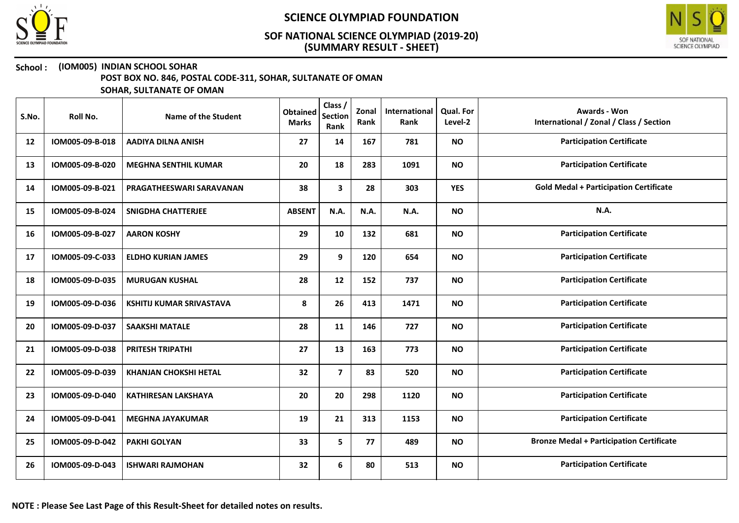



## School : (IOM005) INDIAN SCHOOL SOHAR

POST BOX NO. 846, POSTAL CODE-311, SOHAR, SULTANATE OF OMAN

| S.No. | Roll No.        | Name of the Student             | <b>Obtained</b><br><b>Marks</b> | Class /<br><b>Section</b><br>Rank | Zonal<br>Rank | International<br>Rank | <b>Qual. For</b><br>Level-2 | <b>Awards - Won</b><br>International / Zonal / Class / Section |
|-------|-----------------|---------------------------------|---------------------------------|-----------------------------------|---------------|-----------------------|-----------------------------|----------------------------------------------------------------|
| 12    | IOM005-09-B-018 | <b>AADIYA DILNA ANISH</b>       | 27                              | 14                                | 167           | 781                   | <b>NO</b>                   | <b>Participation Certificate</b>                               |
| 13    | IOM005-09-B-020 | <b>MEGHNA SENTHIL KUMAR</b>     | 20                              | 18                                | 283           | 1091                  | <b>NO</b>                   | <b>Participation Certificate</b>                               |
| 14    | IOM005-09-B-021 | PRAGATHEESWARI SARAVANAN        | 38                              | 3                                 | 28            | 303                   | <b>YES</b>                  | <b>Gold Medal + Participation Certificate</b>                  |
| 15    | IOM005-09-B-024 | <b>SNIGDHA CHATTERJEE</b>       | <b>ABSENT</b>                   | N.A.                              | N.A.          | N.A.                  | <b>NO</b>                   | N.A.                                                           |
| 16    | IOM005-09-B-027 | <b>AARON KOSHY</b>              | 29                              | 10                                | 132           | 681                   | <b>NO</b>                   | <b>Participation Certificate</b>                               |
| 17    | IOM005-09-C-033 | <b>ELDHO KURIAN JAMES</b>       | 29                              | 9                                 | 120           | 654                   | <b>NO</b>                   | <b>Participation Certificate</b>                               |
| 18    | IOM005-09-D-035 | <b>MURUGAN KUSHAL</b>           | 28                              | 12                                | 152           | 737                   | <b>NO</b>                   | <b>Participation Certificate</b>                               |
| 19    | IOM005-09-D-036 | <b>KSHITIJ KUMAR SRIVASTAVA</b> | 8                               | 26                                | 413           | 1471                  | <b>NO</b>                   | <b>Participation Certificate</b>                               |
| 20    | IOM005-09-D-037 | <b>SAAKSHI MATALE</b>           | 28                              | 11                                | 146           | 727                   | <b>NO</b>                   | <b>Participation Certificate</b>                               |
| 21    | IOM005-09-D-038 | PRITESH TRIPATHI                | 27                              | 13                                | 163           | 773                   | <b>NO</b>                   | <b>Participation Certificate</b>                               |
| 22    | IOM005-09-D-039 | <b>KHANJAN CHOKSHI HETAL</b>    | 32                              | $\overline{\mathbf{z}}$           | 83            | 520                   | <b>NO</b>                   | <b>Participation Certificate</b>                               |
| 23    | IOM005-09-D-040 | <b>KATHIRESAN LAKSHAYA</b>      | 20                              | 20                                | 298           | 1120                  | <b>NO</b>                   | <b>Participation Certificate</b>                               |
| 24    | IOM005-09-D-041 | <b>MEGHNA JAYAKUMAR</b>         | 19                              | 21                                | 313           | 1153                  | <b>NO</b>                   | <b>Participation Certificate</b>                               |
| 25    | IOM005-09-D-042 | <b>PAKHI GOLYAN</b>             | 33                              | 5                                 | 77            | 489                   | <b>NO</b>                   | <b>Bronze Medal + Participation Certificate</b>                |
| 26    | IOM005-09-D-043 | <b>ISHWARI RAJMOHAN</b>         | 32                              | 6                                 | 80            | 513                   | <b>NO</b>                   | <b>Participation Certificate</b>                               |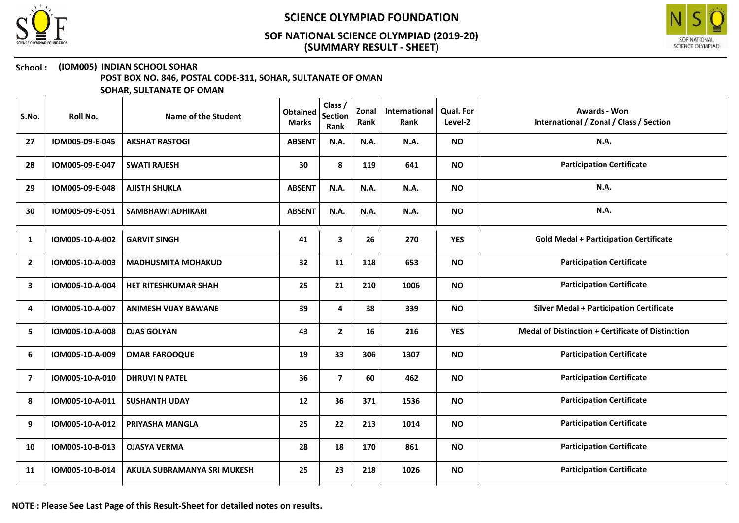



### School : (IOM005) INDIAN SCHOOL SOHAR

POST BOX NO. 846, POSTAL CODE-311, SOHAR, SULTANATE OF OMAN

| S.No.          | Roll No.        | Name of the Student         | <b>Obtained</b><br><b>Marks</b> | Class /<br><b>Section</b><br>Rank | Zonal<br>Rank | International<br>Rank | <b>Qual. For</b><br>Level-2 | <b>Awards - Won</b><br>International / Zonal / Class / Section |
|----------------|-----------------|-----------------------------|---------------------------------|-----------------------------------|---------------|-----------------------|-----------------------------|----------------------------------------------------------------|
| 27             | IOM005-09-E-045 | <b>AKSHAT RASTOGI</b>       | <b>ABSENT</b>                   | N.A.                              | N.A.          | N.A.                  | <b>NO</b>                   | <b>N.A.</b>                                                    |
| 28             | IOM005-09-E-047 | <b>SWATI RAJESH</b>         | 30                              | 8                                 | 119           | 641                   | <b>NO</b>                   | <b>Participation Certificate</b>                               |
| 29             | IOM005-09-E-048 | <b>AJISTH SHUKLA</b>        | <b>ABSENT</b>                   | N.A.                              | N.A.          | N.A.                  | <b>NO</b>                   | N.A.                                                           |
| 30             | IOM005-09-E-051 | <b>SAMBHAWI ADHIKARI</b>    | <b>ABSENT</b>                   | N.A.                              | N.A.          | N.A.                  | <b>NO</b>                   | N.A.                                                           |
| 1              | IOM005-10-A-002 | <b>GARVIT SINGH</b>         | 41                              | 3                                 | 26            | 270                   | <b>YES</b>                  | <b>Gold Medal + Participation Certificate</b>                  |
| $\mathbf{2}$   | IOM005-10-A-003 | <b>MADHUSMITA MOHAKUD</b>   | 32                              | 11                                | 118           | 653                   | <b>NO</b>                   | <b>Participation Certificate</b>                               |
| 3              | IOM005-10-A-004 | HET RITESHKUMAR SHAH        | 25                              | 21                                | 210           | 1006                  | <b>NO</b>                   | <b>Participation Certificate</b>                               |
| 4              | IOM005-10-A-007 | <b>ANIMESH VIJAY BAWANE</b> | 39                              | 4                                 | 38            | 339                   | <b>NO</b>                   | <b>Silver Medal + Participation Certificate</b>                |
| 5              | IOM005-10-A-008 | <b>OJAS GOLYAN</b>          | 43                              | $\mathbf{2}$                      | 16            | 216                   | <b>YES</b>                  | <b>Medal of Distinction + Certificate of Distinction</b>       |
| 6              | IOM005-10-A-009 | <b>OMAR FAROOQUE</b>        | 19                              | 33                                | 306           | 1307                  | <b>NO</b>                   | <b>Participation Certificate</b>                               |
| $\overline{7}$ | IOM005-10-A-010 | <b>DHRUVI N PATEL</b>       | 36                              | $\overline{7}$                    | 60            | 462                   | <b>NO</b>                   | <b>Participation Certificate</b>                               |
| 8              | IOM005-10-A-011 | <b>SUSHANTH UDAY</b>        | 12                              | 36                                | 371           | 1536                  | <b>NO</b>                   | <b>Participation Certificate</b>                               |
| 9              | IOM005-10-A-012 | PRIYASHA MANGLA             | 25                              | 22                                | 213           | 1014                  | <b>NO</b>                   | <b>Participation Certificate</b>                               |
| 10             | IOM005-10-B-013 | <b>OJASYA VERMA</b>         | 28                              | 18                                | 170           | 861                   | <b>NO</b>                   | <b>Participation Certificate</b>                               |
| 11             | IOM005-10-B-014 | AKULA SUBRAMANYA SRI MUKESH | 25                              | 23                                | 218           | 1026                  | <b>NO</b>                   | <b>Participation Certificate</b>                               |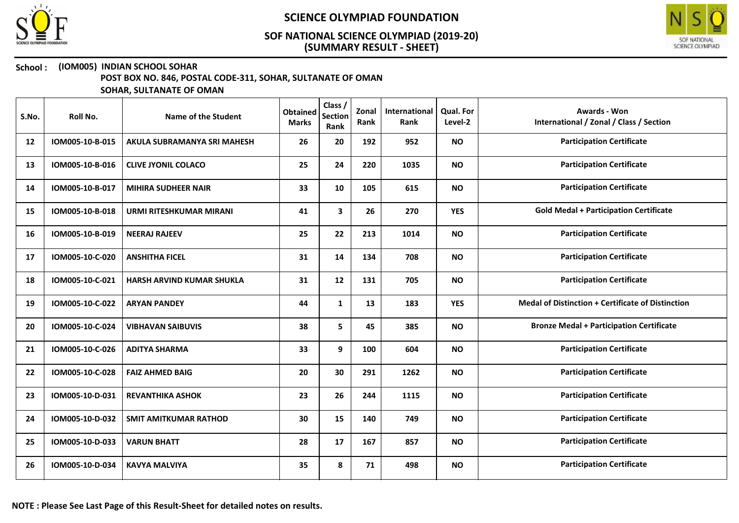



## School : (IOM005) INDIAN SCHOOL SOHAR

POST BOX NO. 846, POSTAL CODE-311, SOHAR, SULTANATE OF OMAN

| S.No. | Roll No.        | Name of the Student            | <b>Obtained</b><br><b>Marks</b> | Class /<br><b>Section</b><br>Rank | Zonal<br>Rank | International<br>Rank | Qual. For<br>Level-2 | <b>Awards - Won</b><br>International / Zonal / Class / Section |
|-------|-----------------|--------------------------------|---------------------------------|-----------------------------------|---------------|-----------------------|----------------------|----------------------------------------------------------------|
| 12    | IOM005-10-B-015 | AKULA SUBRAMANYA SRI MAHESH    | 26                              | 20                                | 192           | 952                   | <b>NO</b>            | <b>Participation Certificate</b>                               |
| 13    | IOM005-10-B-016 | <b>CLIVE JYONIL COLACO</b>     | 25                              | 24                                | 220           | 1035                  | <b>NO</b>            | <b>Participation Certificate</b>                               |
| 14    | IOM005-10-B-017 | <b>MIHIRA SUDHEER NAIR</b>     | 33                              | 10                                | 105           | 615                   | <b>NO</b>            | <b>Participation Certificate</b>                               |
| 15    | IOM005-10-B-018 | <b>URMI RITESHKUMAR MIRANI</b> | 41                              | 3                                 | 26            | 270                   | <b>YES</b>           | <b>Gold Medal + Participation Certificate</b>                  |
| 16    | IOM005-10-B-019 | <b>NEERAJ RAJEEV</b>           | 25                              | 22                                | 213           | 1014                  | <b>NO</b>            | <b>Participation Certificate</b>                               |
| 17    | IOM005-10-C-020 | <b>ANSHITHA FICEL</b>          | 31                              | 14                                | 134           | 708                   | <b>NO</b>            | <b>Participation Certificate</b>                               |
| 18    | IOM005-10-C-021 | HARSH ARVIND KUMAR SHUKLA      | 31                              | 12                                | 131           | 705                   | <b>NO</b>            | <b>Participation Certificate</b>                               |
| 19    | IOM005-10-C-022 | <b>ARYAN PANDEY</b>            | 44                              | $\mathbf{1}$                      | 13            | 183                   | <b>YES</b>           | <b>Medal of Distinction + Certificate of Distinction</b>       |
| 20    | IOM005-10-C-024 | <b>VIBHAVAN SAIBUVIS</b>       | 38                              | 5                                 | 45            | 385                   | <b>NO</b>            | <b>Bronze Medal + Participation Certificate</b>                |
| 21    | IOM005-10-C-026 | <b>ADITYA SHARMA</b>           | 33                              | 9                                 | 100           | 604                   | <b>NO</b>            | <b>Participation Certificate</b>                               |
| 22    | IOM005-10-C-028 | <b>FAIZ AHMED BAIG</b>         | 20                              | 30                                | 291           | 1262                  | <b>NO</b>            | <b>Participation Certificate</b>                               |
| 23    | IOM005-10-D-031 | <b>REVANTHIKA ASHOK</b>        | 23                              | 26                                | 244           | 1115                  | <b>NO</b>            | <b>Participation Certificate</b>                               |
| 24    | IOM005-10-D-032 | <b>SMIT AMITKUMAR RATHOD</b>   | 30                              | 15                                | 140           | 749                   | <b>NO</b>            | <b>Participation Certificate</b>                               |
| 25    | IOM005-10-D-033 | <b>VARUN BHATT</b>             | 28                              | 17                                | 167           | 857                   | <b>NO</b>            | <b>Participation Certificate</b>                               |
| 26    | IOM005-10-D-034 | <b>KAVYA MALVIYA</b>           | 35                              | 8                                 | 71            | 498                   | <b>NO</b>            | <b>Participation Certificate</b>                               |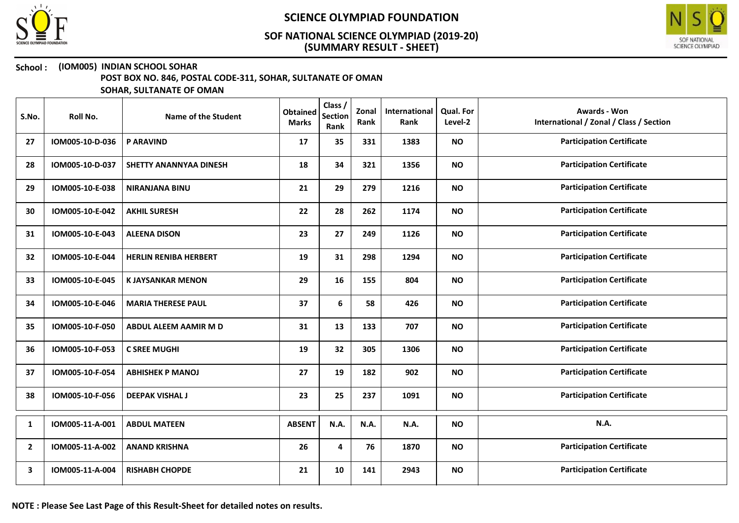



#### School : (IOM005) INDIAN SCHOOL SOHAR

POST BOX NO. 846, POSTAL CODE-311, SOHAR, SULTANATE OF OMAN

| S.No.          | Roll No.        | <b>Name of the Student</b>    | <b>Obtained</b><br><b>Marks</b> | Class /<br><b>Section</b><br>Rank | Zonal<br>Rank | International<br>Rank | <b>Qual. For</b><br>Level-2 | Awards - Won<br>International / Zonal / Class / Section |
|----------------|-----------------|-------------------------------|---------------------------------|-----------------------------------|---------------|-----------------------|-----------------------------|---------------------------------------------------------|
| 27             | IOM005-10-D-036 | <b>P ARAVIND</b>              | 17                              | 35                                | 331           | 1383                  | <b>NO</b>                   | <b>Participation Certificate</b>                        |
| 28             | IOM005-10-D-037 | <b>SHETTY ANANNYAA DINESH</b> | 18                              | 34                                | 321           | 1356                  | <b>NO</b>                   | <b>Participation Certificate</b>                        |
| 29             | IOM005-10-E-038 | <b>NIRANJANA BINU</b>         | 21                              | 29                                | 279           | 1216                  | <b>NO</b>                   | <b>Participation Certificate</b>                        |
| 30             | IOM005-10-E-042 | <b>AKHIL SURESH</b>           | 22                              | 28                                | 262           | 1174                  | <b>NO</b>                   | <b>Participation Certificate</b>                        |
| 31             | IOM005-10-E-043 | <b>ALEENA DISON</b>           | 23                              | 27                                | 249           | 1126                  | <b>NO</b>                   | <b>Participation Certificate</b>                        |
| 32             | IOM005-10-E-044 | <b>HERLIN RENIBA HERBERT</b>  | 19                              | 31                                | 298           | 1294                  | <b>NO</b>                   | <b>Participation Certificate</b>                        |
| 33             | IOM005-10-E-045 | <b>K JAYSANKAR MENON</b>      | 29                              | 16                                | 155           | 804                   | <b>NO</b>                   | <b>Participation Certificate</b>                        |
| 34             | IOM005-10-E-046 | <b>MARIA THERESE PAUL</b>     | 37                              | 6                                 | 58            | 426                   | <b>NO</b>                   | <b>Participation Certificate</b>                        |
| 35             | IOM005-10-F-050 | ABDUL ALEEM AAMIR M D         | 31                              | 13                                | 133           | 707                   | <b>NO</b>                   | <b>Participation Certificate</b>                        |
| 36             | IOM005-10-F-053 | <b>C SREE MUGHI</b>           | 19                              | 32                                | 305           | 1306                  | <b>NO</b>                   | <b>Participation Certificate</b>                        |
| 37             | IOM005-10-F-054 | <b>ABHISHEK P MANOJ</b>       | 27                              | 19                                | 182           | 902                   | <b>NO</b>                   | <b>Participation Certificate</b>                        |
| 38             | IOM005-10-F-056 | <b>DEEPAK VISHAL J</b>        | 23                              | 25                                | 237           | 1091                  | <b>NO</b>                   | <b>Participation Certificate</b>                        |
| 1              | IOM005-11-A-001 | <b>ABDUL MATEEN</b>           | <b>ABSENT</b>                   | N.A.                              | N.A.          | N.A.                  | <b>NO</b>                   | N.A.                                                    |
| $\overline{2}$ | IOM005-11-A-002 | <b>ANAND KRISHNA</b>          | 26                              | 4                                 | 76            | 1870                  | <b>NO</b>                   | <b>Participation Certificate</b>                        |
| 3              | IOM005-11-A-004 | <b>RISHABH CHOPDE</b>         | 21                              | 10                                | 141           | 2943                  | <b>NO</b>                   | <b>Participation Certificate</b>                        |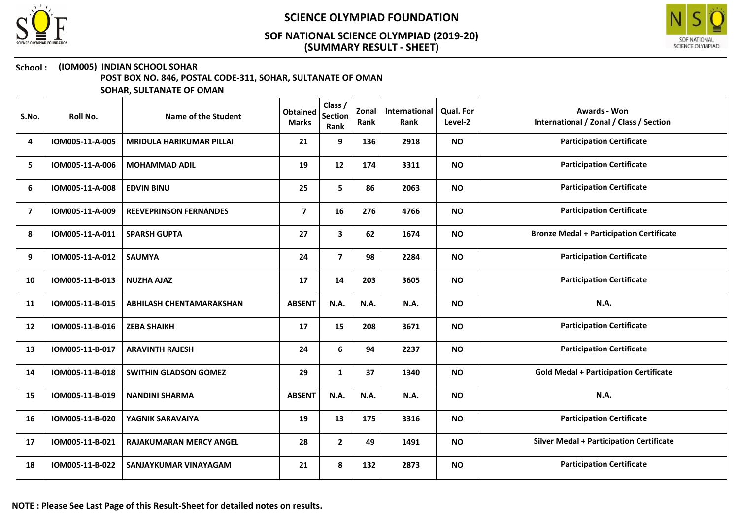



#### School : (IOM005) INDIAN SCHOOL SOHAR

POST BOX NO. 846, POSTAL CODE-311, SOHAR, SULTANATE OF OMAN

| S.No.          | Roll No.        | Name of the Student             | <b>Obtained</b><br><b>Marks</b> | Class /<br><b>Section</b><br>Rank | Zonal<br>Rank | International<br>Rank | Qual. For<br>Level-2 | <b>Awards - Won</b><br>International / Zonal / Class / Section |
|----------------|-----------------|---------------------------------|---------------------------------|-----------------------------------|---------------|-----------------------|----------------------|----------------------------------------------------------------|
| 4              | IOM005-11-A-005 | <b>MRIDULA HARIKUMAR PILLAI</b> | 21                              | 9                                 | 136           | 2918                  | <b>NO</b>            | <b>Participation Certificate</b>                               |
| 5              | IOM005-11-A-006 | <b>MOHAMMAD ADIL</b>            | 19                              | 12                                | 174           | 3311                  | <b>NO</b>            | <b>Participation Certificate</b>                               |
| 6              | IOM005-11-A-008 | <b>EDVIN BINU</b>               | 25                              | 5                                 | 86            | 2063                  | <b>NO</b>            | <b>Participation Certificate</b>                               |
| $\overline{7}$ | IOM005-11-A-009 | <b>REEVEPRINSON FERNANDES</b>   | $\overline{\mathbf{z}}$         | 16                                | 276           | 4766                  | <b>NO</b>            | <b>Participation Certificate</b>                               |
| 8              | IOM005-11-A-011 | <b>SPARSH GUPTA</b>             | 27                              | 3                                 | 62            | 1674                  | <b>NO</b>            | <b>Bronze Medal + Participation Certificate</b>                |
| 9              | IOM005-11-A-012 | <b>SAUMYA</b>                   | 24                              | $\overline{7}$                    | 98            | 2284                  | <b>NO</b>            | <b>Participation Certificate</b>                               |
| 10             | IOM005-11-B-013 | <b>NUZHA AJAZ</b>               | 17                              | 14                                | 203           | 3605                  | <b>NO</b>            | <b>Participation Certificate</b>                               |
| 11             | IOM005-11-B-015 | <b>ABHILASH CHENTAMARAKSHAN</b> | <b>ABSENT</b>                   | N.A.                              | N.A.          | N.A.                  | <b>NO</b>            | N.A.                                                           |
| 12             | IOM005-11-B-016 | <b>ZEBA SHAIKH</b>              | 17                              | 15                                | 208           | 3671                  | <b>NO</b>            | <b>Participation Certificate</b>                               |
| 13             | IOM005-11-B-017 | <b>ARAVINTH RAJESH</b>          | 24                              | 6                                 | 94            | 2237                  | <b>NO</b>            | <b>Participation Certificate</b>                               |
| 14             | IOM005-11-B-018 | <b>SWITHIN GLADSON GOMEZ</b>    | 29                              | $\mathbf{1}$                      | 37            | 1340                  | <b>NO</b>            | <b>Gold Medal + Participation Certificate</b>                  |
| 15             | IOM005-11-B-019 | <b>NANDINI SHARMA</b>           | <b>ABSENT</b>                   | N.A.                              | N.A.          | N.A.                  | <b>NO</b>            | N.A.                                                           |
| 16             | IOM005-11-B-020 | YAGNIK SARAVAIYA                | 19                              | 13                                | 175           | 3316                  | <b>NO</b>            | <b>Participation Certificate</b>                               |
| 17             | IOM005-11-B-021 | <b>RAJAKUMARAN MERCY ANGEL</b>  | 28                              | $\mathbf{2}$                      | 49            | 1491                  | <b>NO</b>            | <b>Silver Medal + Participation Certificate</b>                |
| 18             | IOM005-11-B-022 | <b>SANJAYKUMAR VINAYAGAM</b>    | 21                              | 8                                 | 132           | 2873                  | <b>NO</b>            | <b>Participation Certificate</b>                               |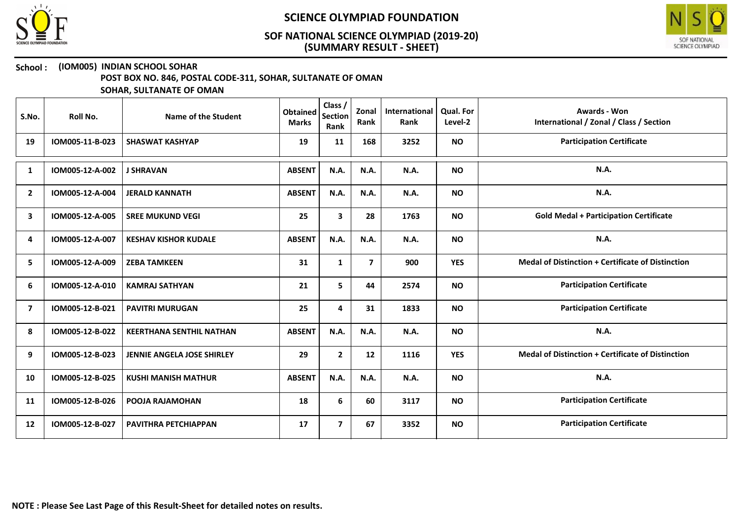



#### School : (IOM005) INDIAN SCHOOL SOHAR

POST BOX NO. 846, POSTAL CODE-311, SOHAR, SULTANATE OF OMAN

| S.No.          | Roll No.        | Name of the Student               | <b>Obtained</b><br><b>Marks</b> | Class /<br><b>Section</b><br>Rank | Zonal<br>Rank           | International<br>Rank | Qual. For<br>Level-2 | Awards - Won<br>International / Zonal / Class / Section  |
|----------------|-----------------|-----------------------------------|---------------------------------|-----------------------------------|-------------------------|-----------------------|----------------------|----------------------------------------------------------|
| 19             | IOM005-11-B-023 | <b>SHASWAT KASHYAP</b>            | 19                              | 11                                | 168                     | 3252                  | <b>NO</b>            | <b>Participation Certificate</b>                         |
| 1              | IOM005-12-A-002 | <b>J SHRAVAN</b>                  | <b>ABSENT</b>                   | <b>N.A.</b>                       | N.A.                    | N.A.                  | <b>NO</b>            | <b>N.A.</b>                                              |
| $\overline{2}$ | IOM005-12-A-004 | <b>JERALD KANNATH</b>             | <b>ABSENT</b>                   | N.A.                              | <b>N.A.</b>             | N.A.                  | <b>NO</b>            | N.A.                                                     |
| 3              | IOM005-12-A-005 | <b>SREE MUKUND VEGI</b>           | 25                              | $\mathbf{3}$                      | 28                      | 1763                  | <b>NO</b>            | <b>Gold Medal + Participation Certificate</b>            |
| 4              | IOM005-12-A-007 | <b>KESHAV KISHOR KUDALE</b>       | <b>ABSENT</b>                   | <b>N.A.</b>                       | N.A.                    | N.A.                  | <b>NO</b>            | <b>N.A.</b>                                              |
| 5              | IOM005-12-A-009 | <b>ZEBA TAMKEEN</b>               | 31                              | $\mathbf{1}$                      | $\overline{\mathbf{z}}$ | 900                   | <b>YES</b>           | <b>Medal of Distinction + Certificate of Distinction</b> |
| 6              | IOM005-12-A-010 | <b>KAMRAJ SATHYAN</b>             | 21                              | 5                                 | 44                      | 2574                  | <b>NO</b>            | <b>Participation Certificate</b>                         |
| $\overline{7}$ | IOM005-12-B-021 | <b>PAVITRI MURUGAN</b>            | 25                              | 4                                 | 31                      | 1833                  | <b>NO</b>            | <b>Participation Certificate</b>                         |
| 8              | IOM005-12-B-022 | <b>KEERTHANA SENTHIL NATHAN</b>   | <b>ABSENT</b>                   | N.A.                              | N.A.                    | N.A.                  | <b>NO</b>            | N.A.                                                     |
| 9              | IOM005-12-B-023 | <b>JENNIE ANGELA JOSE SHIRLEY</b> | 29                              | $\mathbf{2}$                      | 12                      | 1116                  | <b>YES</b>           | <b>Medal of Distinction + Certificate of Distinction</b> |
| 10             | IOM005-12-B-025 | <b>KUSHI MANISH MATHUR</b>        | <b>ABSENT</b>                   | N.A.                              | N.A.                    | N.A.                  | <b>NO</b>            | N.A.                                                     |
| 11             | IOM005-12-B-026 | POOJA RAJAMOHAN                   | 18                              | 6                                 | 60                      | 3117                  | <b>NO</b>            | <b>Participation Certificate</b>                         |
| 12             | IOM005-12-B-027 | PAVITHRA PETCHIAPPAN              | 17                              | $\overline{7}$                    | 67                      | 3352                  | <b>NO</b>            | <b>Participation Certificate</b>                         |